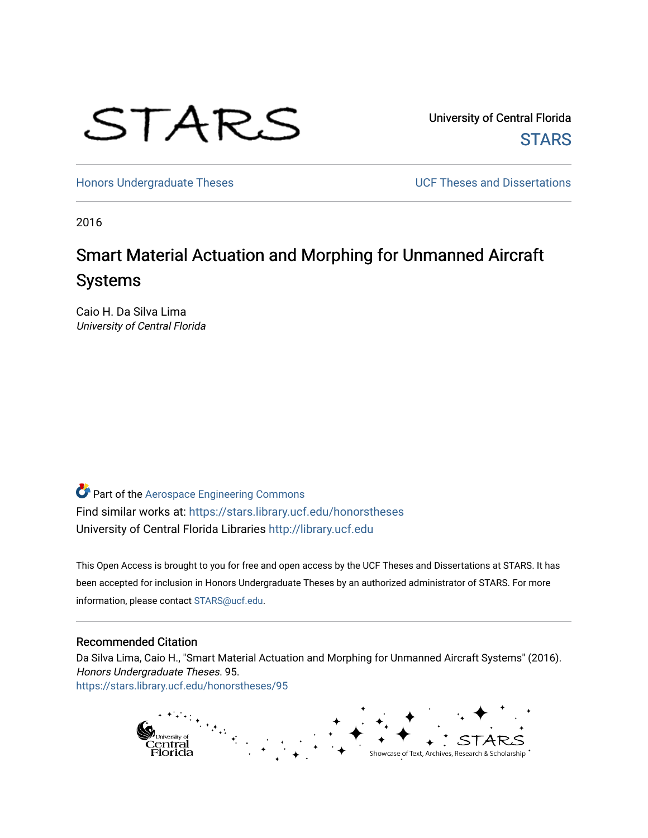

University of Central Florida **STARS** 

[Honors Undergraduate Theses](https://stars.library.ucf.edu/honorstheses) **Exercise 2018** UCF Theses and Dissertations

2016

# Smart Material Actuation and Morphing for Unmanned Aircraft Systems

Caio H. Da Silva Lima University of Central Florida

Part of the [Aerospace Engineering Commons](http://network.bepress.com/hgg/discipline/218?utm_source=stars.library.ucf.edu%2Fhonorstheses%2F95&utm_medium=PDF&utm_campaign=PDFCoverPages) Find similar works at: <https://stars.library.ucf.edu/honorstheses> University of Central Florida Libraries [http://library.ucf.edu](http://library.ucf.edu/) 

This Open Access is brought to you for free and open access by the UCF Theses and Dissertations at STARS. It has been accepted for inclusion in Honors Undergraduate Theses by an authorized administrator of STARS. For more information, please contact [STARS@ucf.edu.](mailto:STARS@ucf.edu)

#### Recommended Citation

Da Silva Lima, Caio H., "Smart Material Actuation and Morphing for Unmanned Aircraft Systems" (2016). Honors Undergraduate Theses. 95. [https://stars.library.ucf.edu/honorstheses/95](https://stars.library.ucf.edu/honorstheses/95?utm_source=stars.library.ucf.edu%2Fhonorstheses%2F95&utm_medium=PDF&utm_campaign=PDFCoverPages)

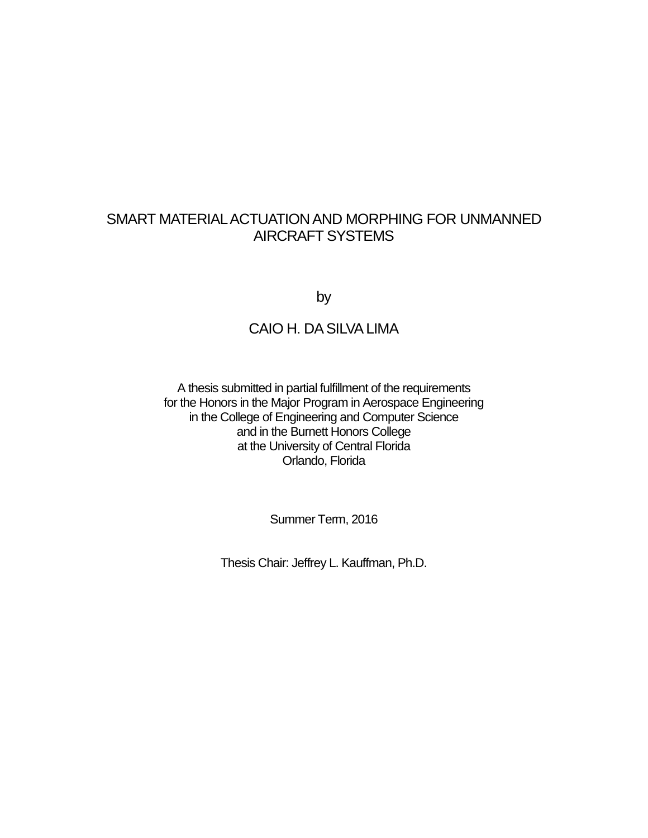## SMART MATERIAL ACTUATION AND MORPHING FOR UNMANNED AIRCRAFT SYSTEMS

by

## CAIO H. DA SILVA LIMA

A thesis submitted in partial fulfillment of the requirements for the Honors in the Major Program in Aerospace Engineering in the College of Engineering and Computer Science and in the Burnett Honors College at the University of Central Florida Orlando, Florida

Summer Term, 2016

Thesis Chair: Jeffrey L. Kauffman, Ph.D.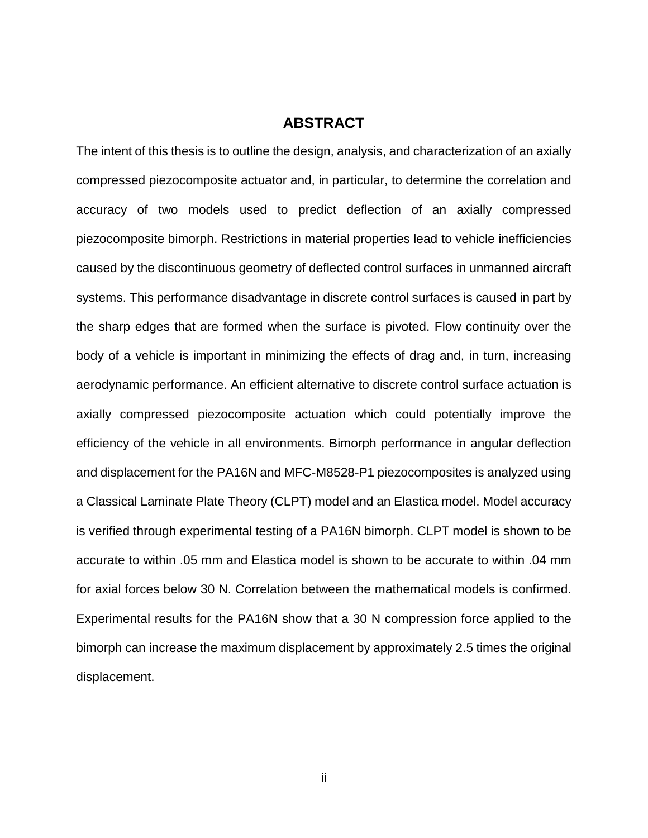### **ABSTRACT**

The intent of this thesis is to outline the design, analysis, and characterization of an axially compressed piezocomposite actuator and, in particular, to determine the correlation and accuracy of two models used to predict deflection of an axially compressed piezocomposite bimorph. Restrictions in material properties lead to vehicle inefficiencies caused by the discontinuous geometry of deflected control surfaces in unmanned aircraft systems. This performance disadvantage in discrete control surfaces is caused in part by the sharp edges that are formed when the surface is pivoted. Flow continuity over the body of a vehicle is important in minimizing the effects of drag and, in turn, increasing aerodynamic performance. An efficient alternative to discrete control surface actuation is axially compressed piezocomposite actuation which could potentially improve the efficiency of the vehicle in all environments. Bimorph performance in angular deflection and displacement for the PA16N and MFC-M8528-P1 piezocomposites is analyzed using a Classical Laminate Plate Theory (CLPT) model and an Elastica model. Model accuracy is verified through experimental testing of a PA16N bimorph. CLPT model is shown to be accurate to within .05 mm and Elastica model is shown to be accurate to within .04 mm for axial forces below 30 N. Correlation between the mathematical models is confirmed. Experimental results for the PA16N show that a 30 N compression force applied to the bimorph can increase the maximum displacement by approximately 2.5 times the original displacement.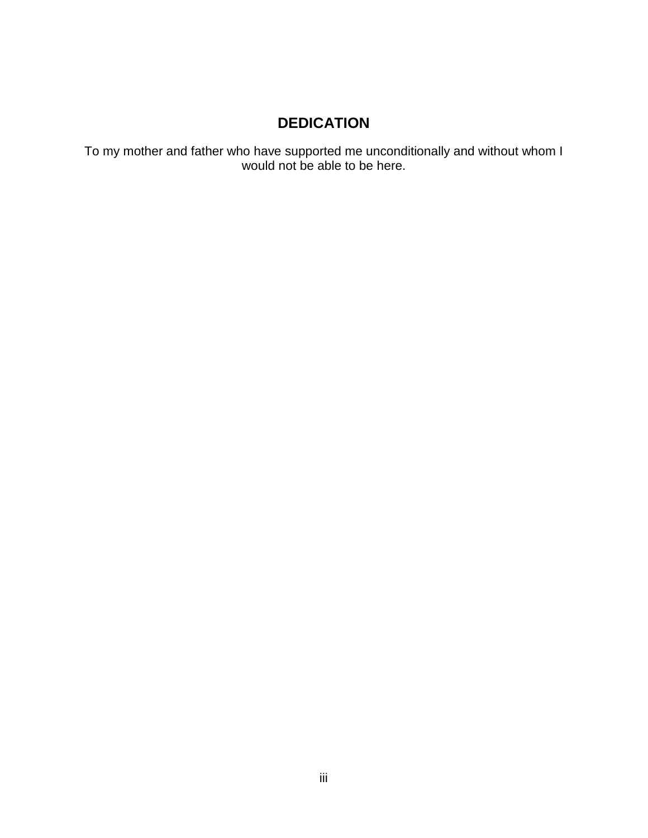## **DEDICATION**

To my mother and father who have supported me unconditionally and without whom I would not be able to be here.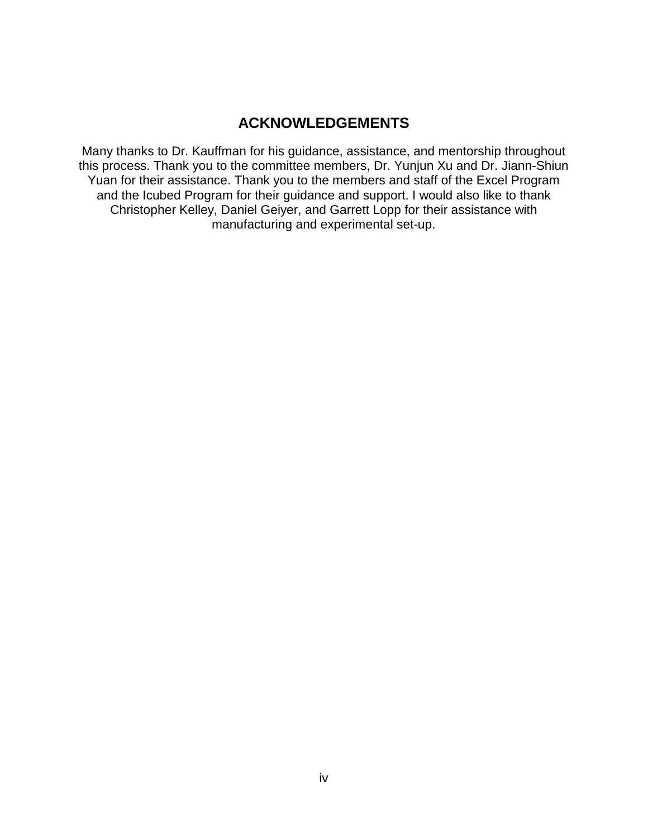## **ACKNOWLEDGEMENTS**

Many thanks to Dr. Kauffman for his guidance, assistance, and mentorship throughout this process. Thank you to the committee members, Dr. Yunjun Xu and Dr. Jiann-Shiun Yuan for their assistance. Thank you to the members and staff of the Excel Program and the Icubed Program for their guidance and support. I would also like to thank Christopher Kelley, Daniel Geiyer, and Garrett Lopp for their assistance with manufacturing and experimental set-up.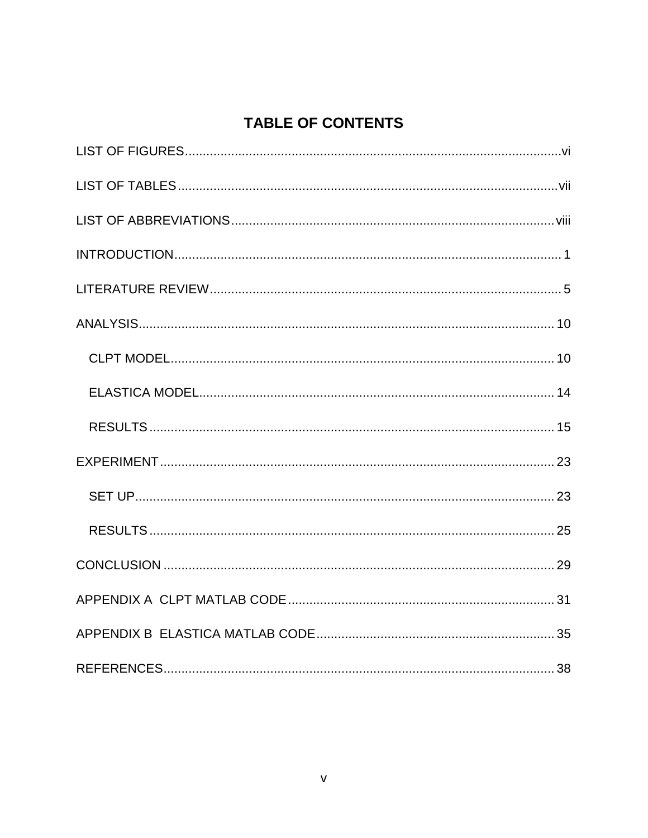# **TABLE OF CONTENTS**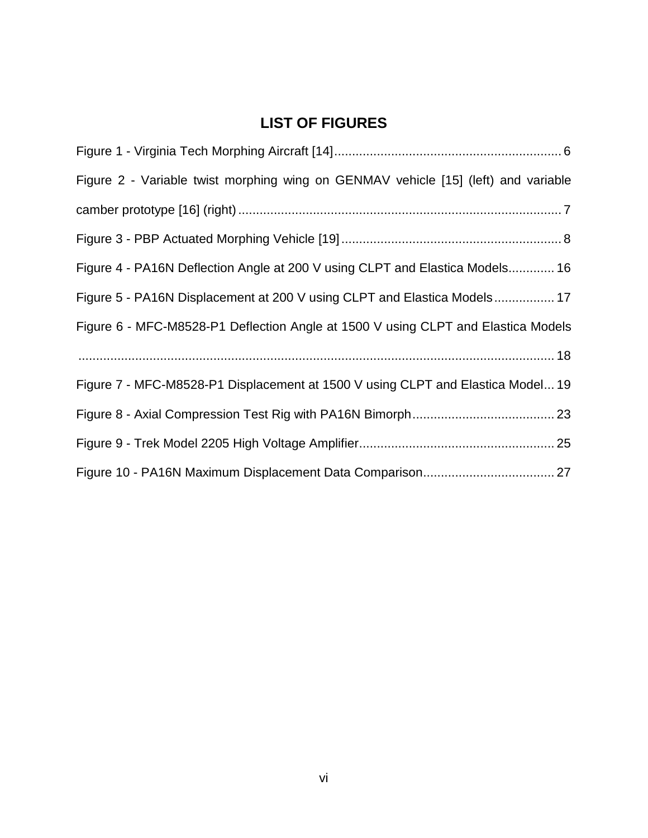# **LIST OF FIGURES**

<span id="page-6-0"></span>

| Figure 2 - Variable twist morphing wing on GENMAV vehicle [15] (left) and variable |
|------------------------------------------------------------------------------------|
|                                                                                    |
|                                                                                    |
| Figure 4 - PA16N Deflection Angle at 200 V using CLPT and Elastica Models 16       |
| Figure 5 - PA16N Displacement at 200 V using CLPT and Elastica Models 17           |
| Figure 6 - MFC-M8528-P1 Deflection Angle at 1500 V using CLPT and Elastica Models  |
|                                                                                    |
| Figure 7 - MFC-M8528-P1 Displacement at 1500 V using CLPT and Elastica Model 19    |
|                                                                                    |
|                                                                                    |
|                                                                                    |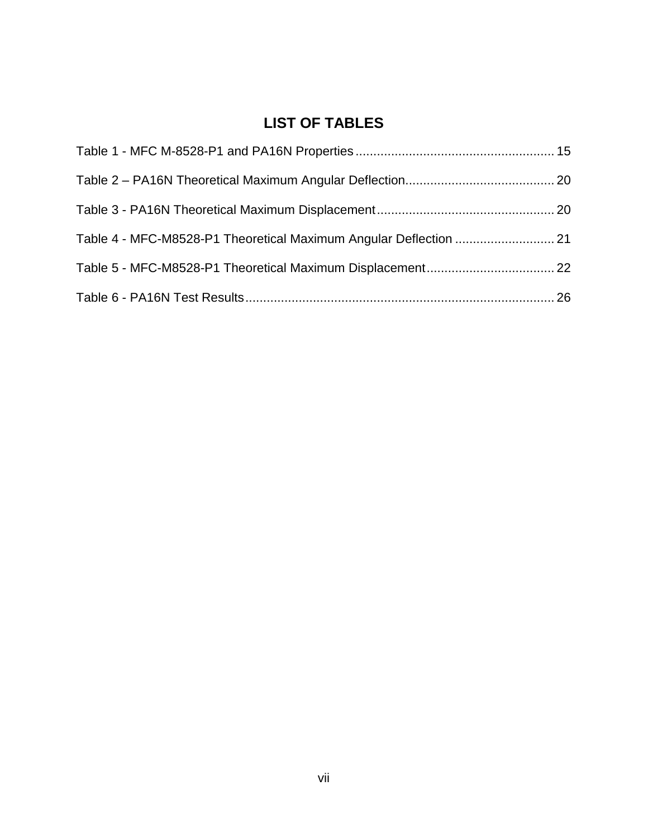# **LIST OF TABLES**

<span id="page-7-0"></span>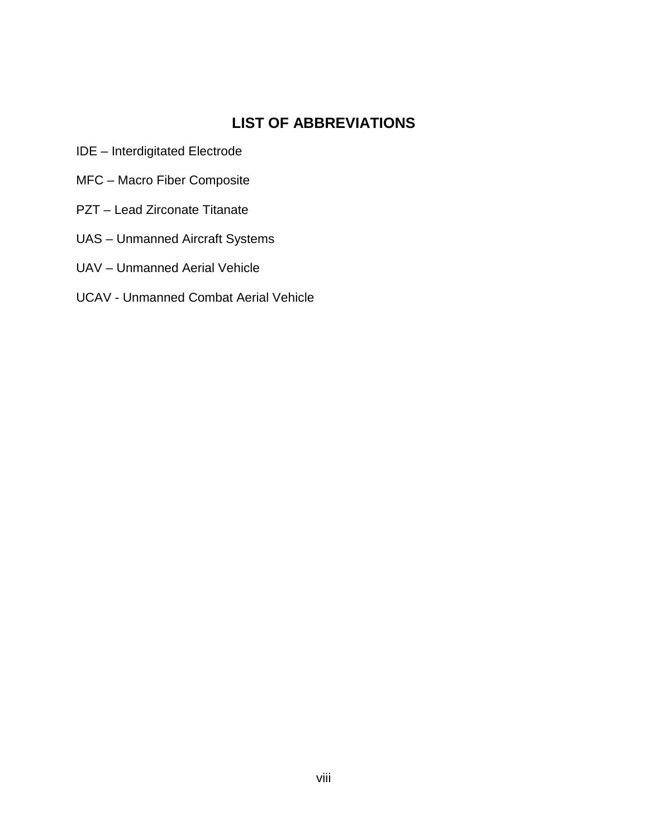## **LIST OF ABBREVIATIONS**

- <span id="page-8-0"></span>IDE – Interdigitated Electrode
- MFC Macro Fiber Composite
- PZT Lead Zirconate Titanate
- UAS Unmanned Aircraft Systems
- UAV Unmanned Aerial Vehicle
- UCAV Unmanned Combat Aerial Vehicle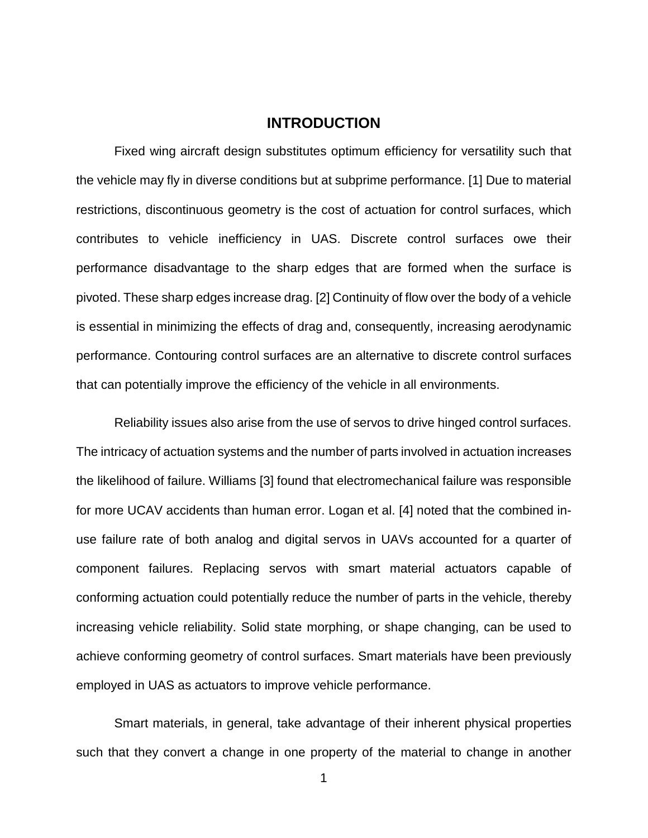### **INTRODUCTION**

<span id="page-9-0"></span>Fixed wing aircraft design substitutes optimum efficiency for versatility such that the vehicle may fly in diverse conditions but at subprime performance. [1] Due to material restrictions, discontinuous geometry is the cost of actuation for control surfaces, which contributes to vehicle inefficiency in UAS. Discrete control surfaces owe their performance disadvantage to the sharp edges that are formed when the surface is pivoted. These sharp edges increase drag. [2] Continuity of flow over the body of a vehicle is essential in minimizing the effects of drag and, consequently, increasing aerodynamic performance. Contouring control surfaces are an alternative to discrete control surfaces that can potentially improve the efficiency of the vehicle in all environments.

Reliability issues also arise from the use of servos to drive hinged control surfaces. The intricacy of actuation systems and the number of parts involved in actuation increases the likelihood of failure. Williams [3] found that electromechanical failure was responsible for more UCAV accidents than human error. Logan et al. [4] noted that the combined inuse failure rate of both analog and digital servos in UAVs accounted for a quarter of component failures. Replacing servos with smart material actuators capable of conforming actuation could potentially reduce the number of parts in the vehicle, thereby increasing vehicle reliability. Solid state morphing, or shape changing, can be used to achieve conforming geometry of control surfaces. Smart materials have been previously employed in UAS as actuators to improve vehicle performance.

Smart materials, in general, take advantage of their inherent physical properties such that they convert a change in one property of the material to change in another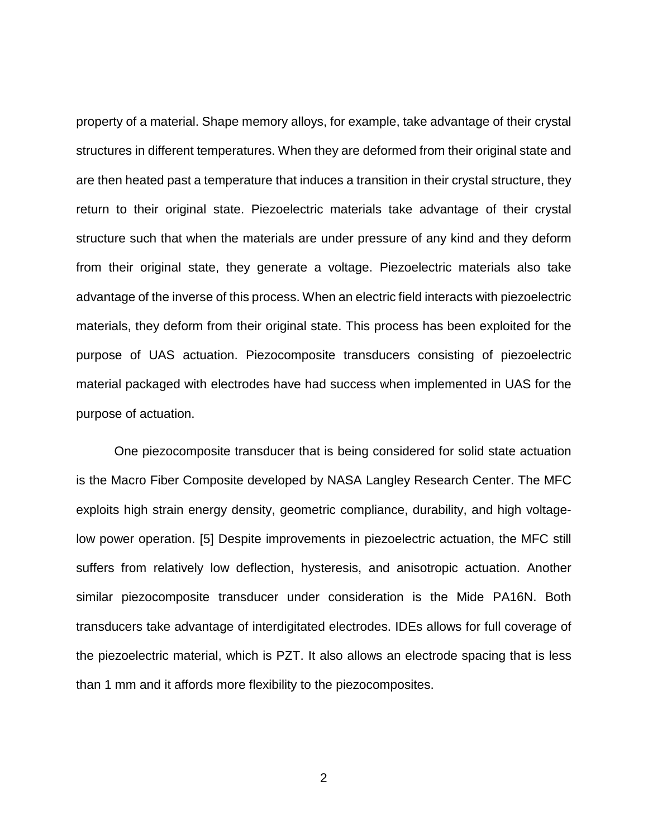property of a material. Shape memory alloys, for example, take advantage of their crystal structures in different temperatures. When they are deformed from their original state and are then heated past a temperature that induces a transition in their crystal structure, they return to their original state. Piezoelectric materials take advantage of their crystal structure such that when the materials are under pressure of any kind and they deform from their original state, they generate a voltage. Piezoelectric materials also take advantage of the inverse of this process. When an electric field interacts with piezoelectric materials, they deform from their original state. This process has been exploited for the purpose of UAS actuation. Piezocomposite transducers consisting of piezoelectric material packaged with electrodes have had success when implemented in UAS for the purpose of actuation.

One piezocomposite transducer that is being considered for solid state actuation is the Macro Fiber Composite developed by NASA Langley Research Center. The MFC exploits high strain energy density, geometric compliance, durability, and high voltagelow power operation. [5] Despite improvements in piezoelectric actuation, the MFC still suffers from relatively low deflection, hysteresis, and anisotropic actuation. Another similar piezocomposite transducer under consideration is the Mide PA16N. Both transducers take advantage of interdigitated electrodes. IDEs allows for full coverage of the piezoelectric material, which is PZT. It also allows an electrode spacing that is less than 1 mm and it affords more flexibility to the piezocomposites.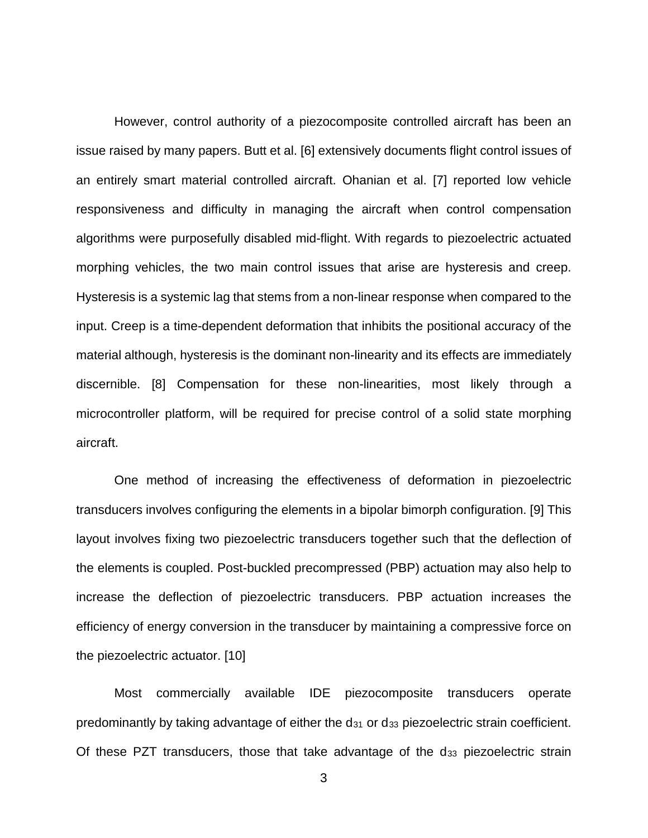However, control authority of a piezocomposite controlled aircraft has been an issue raised by many papers. Butt et al. [6] extensively documents flight control issues of an entirely smart material controlled aircraft. Ohanian et al. [7] reported low vehicle responsiveness and difficulty in managing the aircraft when control compensation algorithms were purposefully disabled mid-flight. With regards to piezoelectric actuated morphing vehicles, the two main control issues that arise are hysteresis and creep. Hysteresis is a systemic lag that stems from a non-linear response when compared to the input. Creep is a time-dependent deformation that inhibits the positional accuracy of the material although, hysteresis is the dominant non-linearity and its effects are immediately discernible. [8] Compensation for these non-linearities, most likely through a microcontroller platform, will be required for precise control of a solid state morphing aircraft.

One method of increasing the effectiveness of deformation in piezoelectric transducers involves configuring the elements in a bipolar bimorph configuration. [9] This layout involves fixing two piezoelectric transducers together such that the deflection of the elements is coupled. Post-buckled precompressed (PBP) actuation may also help to increase the deflection of piezoelectric transducers. PBP actuation increases the efficiency of energy conversion in the transducer by maintaining a compressive force on the piezoelectric actuator. [10]

Most commercially available IDE piezocomposite transducers operate predominantly by taking advantage of either the  $d_{31}$  or  $d_{33}$  piezoelectric strain coefficient. Of these PZT transducers, those that take advantage of the d33 piezoelectric strain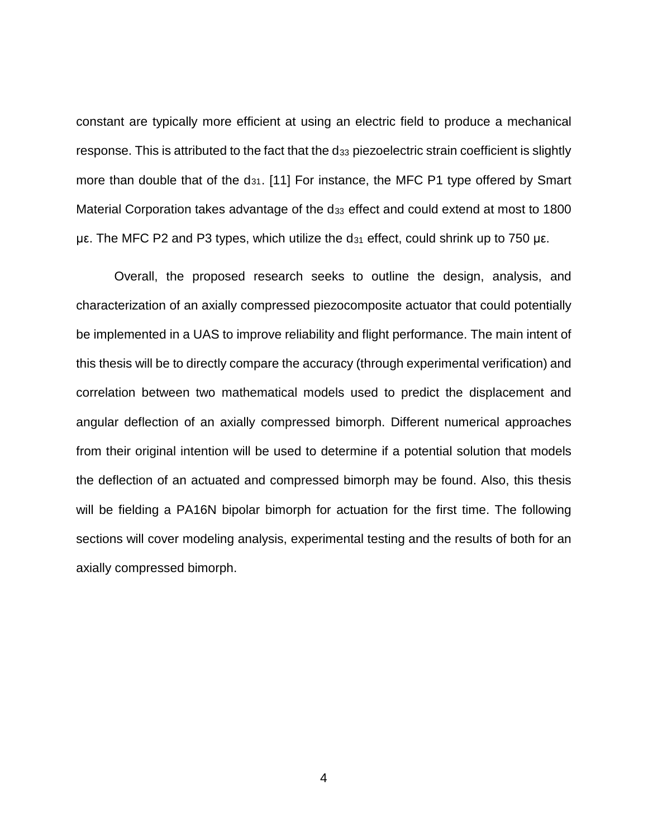constant are typically more efficient at using an electric field to produce a mechanical response. This is attributed to the fact that the d<sub>33</sub> piezoelectric strain coefficient is slightly more than double that of the d<sub>31</sub>. [11] For instance, the MFC P1 type offered by Smart Material Corporation takes advantage of the d<sub>33</sub> effect and could extend at most to 1800 με. The MFC P2 and P3 types, which utilize the  $d_{31}$  effect, could shrink up to 750 με.

Overall, the proposed research seeks to outline the design, analysis, and characterization of an axially compressed piezocomposite actuator that could potentially be implemented in a UAS to improve reliability and flight performance. The main intent of this thesis will be to directly compare the accuracy (through experimental verification) and correlation between two mathematical models used to predict the displacement and angular deflection of an axially compressed bimorph. Different numerical approaches from their original intention will be used to determine if a potential solution that models the deflection of an actuated and compressed bimorph may be found. Also, this thesis will be fielding a PA16N bipolar bimorph for actuation for the first time. The following sections will cover modeling analysis, experimental testing and the results of both for an axially compressed bimorph.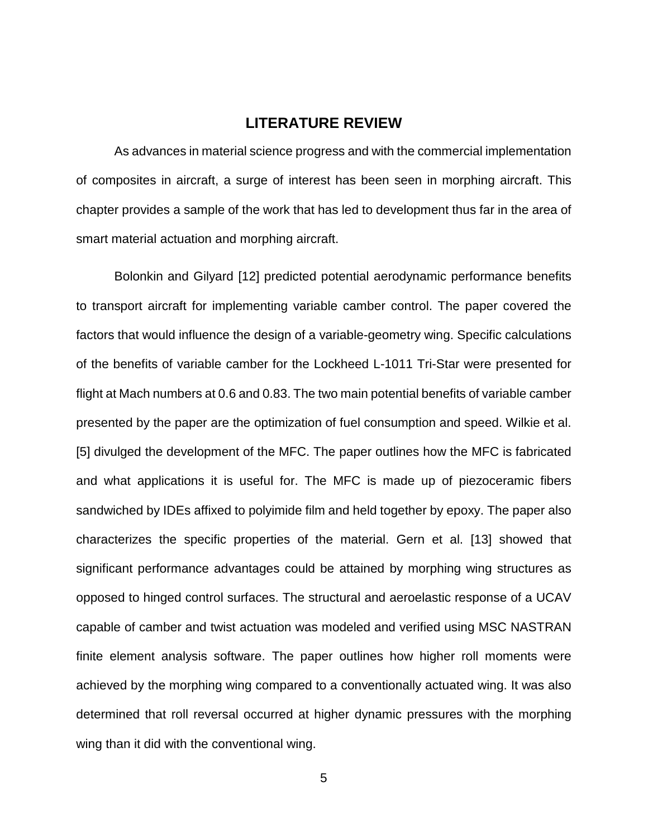### **LITERATURE REVIEW**

<span id="page-13-0"></span>As advances in material science progress and with the commercial implementation of composites in aircraft, a surge of interest has been seen in morphing aircraft. This chapter provides a sample of the work that has led to development thus far in the area of smart material actuation and morphing aircraft.

Bolonkin and Gilyard [12] predicted potential aerodynamic performance benefits to transport aircraft for implementing variable camber control. The paper covered the factors that would influence the design of a variable-geometry wing. Specific calculations of the benefits of variable camber for the Lockheed L-1011 Tri-Star were presented for flight at Mach numbers at 0.6 and 0.83. The two main potential benefits of variable camber presented by the paper are the optimization of fuel consumption and speed. Wilkie et al. [5] divulged the development of the MFC. The paper outlines how the MFC is fabricated and what applications it is useful for. The MFC is made up of piezoceramic fibers sandwiched by IDEs affixed to polyimide film and held together by epoxy. The paper also characterizes the specific properties of the material. Gern et al. [13] showed that significant performance advantages could be attained by morphing wing structures as opposed to hinged control surfaces. The structural and aeroelastic response of a UCAV capable of camber and twist actuation was modeled and verified using MSC NASTRAN finite element analysis software. The paper outlines how higher roll moments were achieved by the morphing wing compared to a conventionally actuated wing. It was also determined that roll reversal occurred at higher dynamic pressures with the morphing wing than it did with the conventional wing.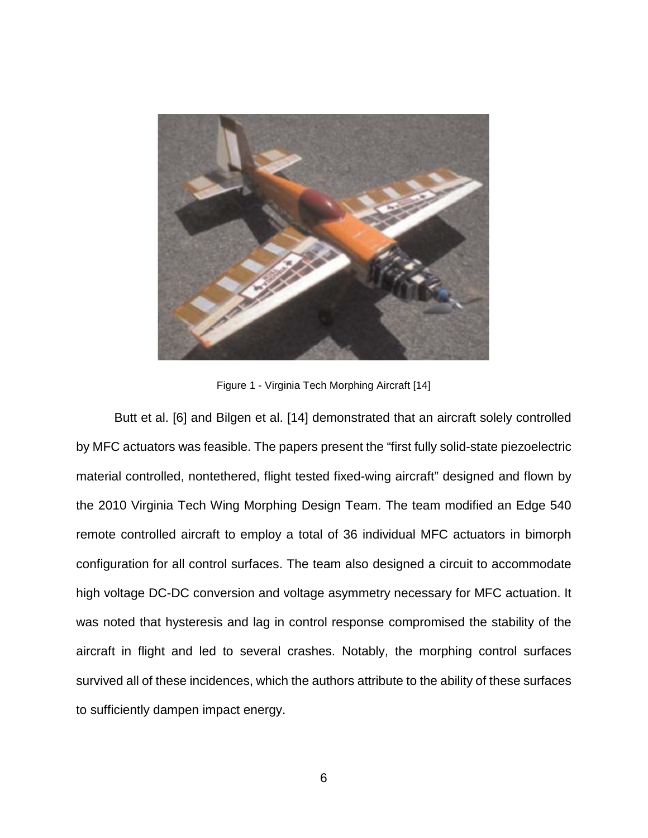

Figure 1 - Virginia Tech Morphing Aircraft [14]

<span id="page-14-0"></span>Butt et al. [6] and Bilgen et al. [14] demonstrated that an aircraft solely controlled by MFC actuators was feasible. The papers present the "first fully solid-state piezoelectric material controlled, nontethered, flight tested fixed-wing aircraft" designed and flown by the 2010 Virginia Tech Wing Morphing Design Team. The team modified an Edge 540 remote controlled aircraft to employ a total of 36 individual MFC actuators in bimorph configuration for all control surfaces. The team also designed a circuit to accommodate high voltage DC-DC conversion and voltage asymmetry necessary for MFC actuation. It was noted that hysteresis and lag in control response compromised the stability of the aircraft in flight and led to several crashes. Notably, the morphing control surfaces survived all of these incidences, which the authors attribute to the ability of these surfaces to sufficiently dampen impact energy.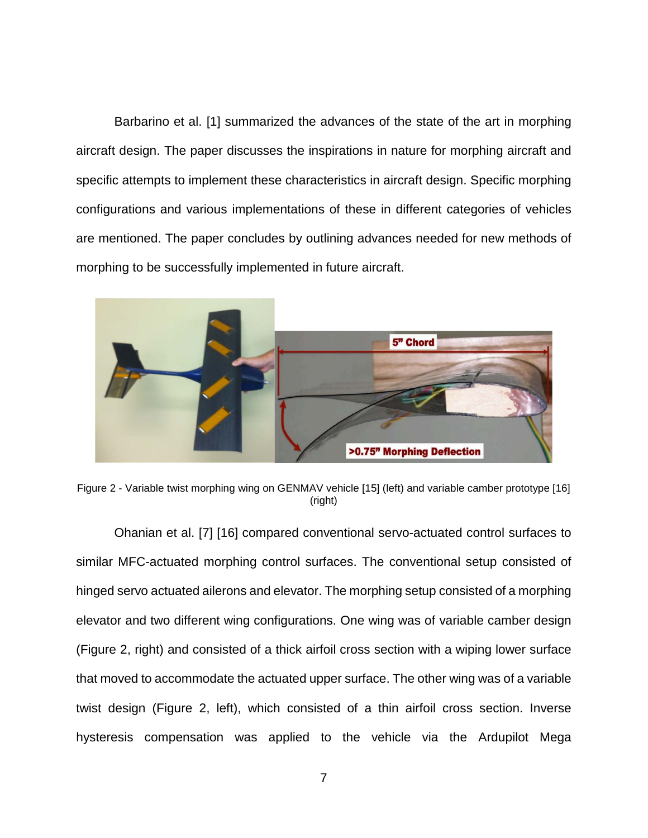Barbarino et al. [1] summarized the advances of the state of the art in morphing aircraft design. The paper discusses the inspirations in nature for morphing aircraft and specific attempts to implement these characteristics in aircraft design. Specific morphing configurations and various implementations of these in different categories of vehicles are mentioned. The paper concludes by outlining advances needed for new methods of morphing to be successfully implemented in future aircraft.



Figure 2 - Variable twist morphing wing on GENMAV vehicle [15] (left) and variable camber prototype [16] (right)

<span id="page-15-0"></span>Ohanian et al. [7] [16] compared conventional servo-actuated control surfaces to similar MFC-actuated morphing control surfaces. The conventional setup consisted of hinged servo actuated ailerons and elevator. The morphing setup consisted of a morphing elevator and two different wing configurations. One wing was of variable camber design [\(Figure 2,](#page-15-0) right) and consisted of a thick airfoil cross section with a wiping lower surface that moved to accommodate the actuated upper surface. The other wing was of a variable twist design [\(Figure 2,](#page-15-0) left), which consisted of a thin airfoil cross section. Inverse hysteresis compensation was applied to the vehicle via the Ardupilot Mega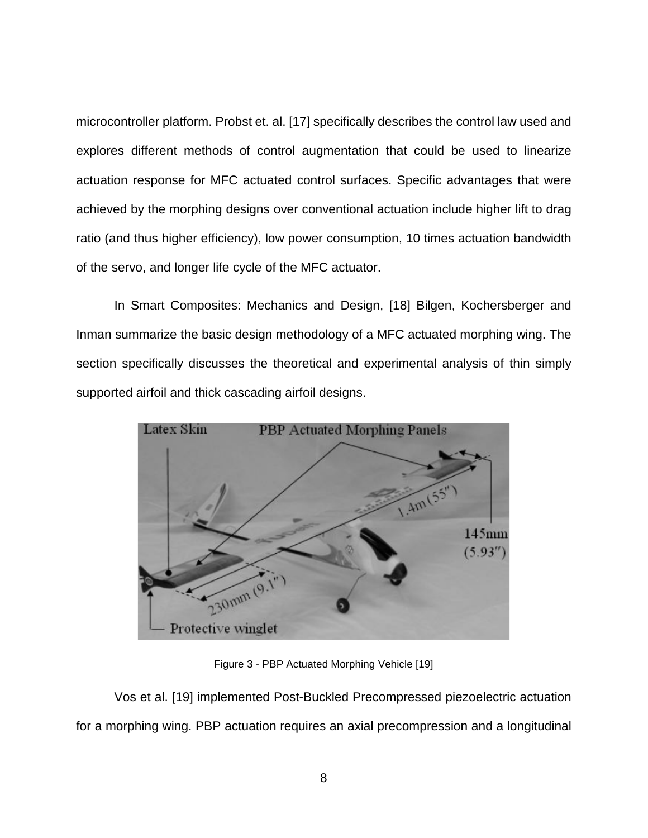microcontroller platform. Probst et. al. [17] specifically describes the control law used and explores different methods of control augmentation that could be used to linearize actuation response for MFC actuated control surfaces. Specific advantages that were achieved by the morphing designs over conventional actuation include higher lift to drag ratio (and thus higher efficiency), low power consumption, 10 times actuation bandwidth of the servo, and longer life cycle of the MFC actuator.

In Smart Composites: Mechanics and Design, [18] Bilgen, Kochersberger and Inman summarize the basic design methodology of a MFC actuated morphing wing. The section specifically discusses the theoretical and experimental analysis of thin simply supported airfoil and thick cascading airfoil designs.



Figure 3 - PBP Actuated Morphing Vehicle [19]

<span id="page-16-0"></span>Vos et al. [19] implemented Post-Buckled Precompressed piezoelectric actuation for a morphing wing. PBP actuation requires an axial precompression and a longitudinal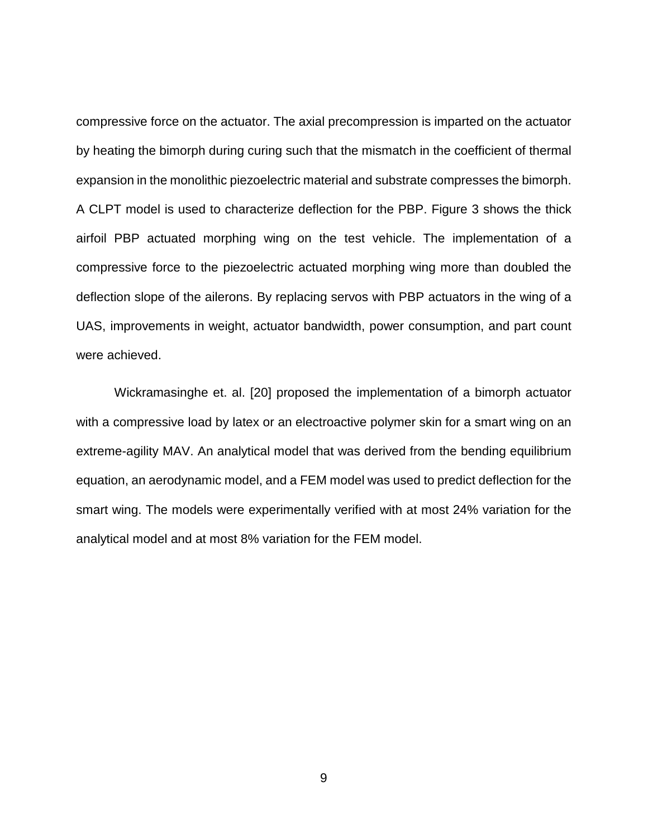compressive force on the actuator. The axial precompression is imparted on the actuator by heating the bimorph during curing such that the mismatch in the coefficient of thermal expansion in the monolithic piezoelectric material and substrate compresses the bimorph. A CLPT model is used to characterize deflection for the PBP. [Figure 3](#page-16-0) shows the thick airfoil PBP actuated morphing wing on the test vehicle. The implementation of a compressive force to the piezoelectric actuated morphing wing more than doubled the deflection slope of the ailerons. By replacing servos with PBP actuators in the wing of a UAS, improvements in weight, actuator bandwidth, power consumption, and part count were achieved.

Wickramasinghe et. al. [20] proposed the implementation of a bimorph actuator with a compressive load by latex or an electroactive polymer skin for a smart wing on an extreme-agility MAV. An analytical model that was derived from the bending equilibrium equation, an aerodynamic model, and a FEM model was used to predict deflection for the smart wing. The models were experimentally verified with at most 24% variation for the analytical model and at most 8% variation for the FEM model.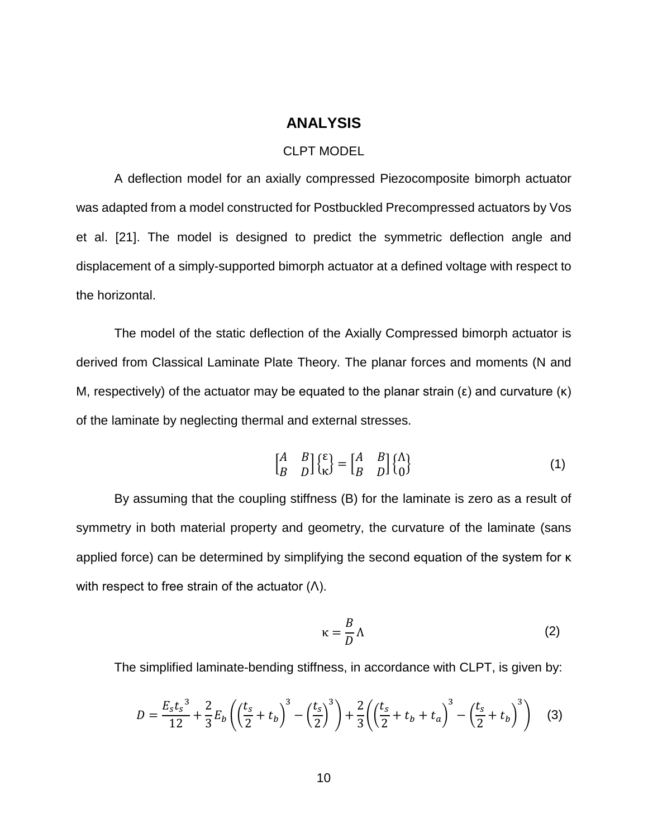#### **ANALYSIS**

#### CLPT MODEL

<span id="page-18-1"></span><span id="page-18-0"></span>A deflection model for an axially compressed Piezocomposite bimorph actuator was adapted from a model constructed for Postbuckled Precompressed actuators by Vos et al. [21]. The model is designed to predict the symmetric deflection angle and displacement of a simply-supported bimorph actuator at a defined voltage with respect to the horizontal.

The model of the static deflection of the Axially Compressed bimorph actuator is derived from Classical Laminate Plate Theory. The planar forces and moments (N and M, respectively) of the actuator may be equated to the planar strain  $(\epsilon)$  and curvature  $(\kappa)$ of the laminate by neglecting thermal and external stresses.

$$
\begin{bmatrix} A & B \\ B & D \end{bmatrix} \begin{Bmatrix} \varepsilon \\ \kappa \end{Bmatrix} = \begin{bmatrix} A & B \\ B & D \end{bmatrix} \begin{Bmatrix} \Lambda \\ 0 \end{Bmatrix}
$$
 (1)

By assuming that the coupling stiffness (B) for the laminate is zero as a result of symmetry in both material property and geometry, the curvature of the laminate (sans applied force) can be determined by simplifying the second equation of the system for κ with respect to free strain of the actuator  $(Λ)$ .

$$
\kappa = \frac{B}{D} \Lambda \tag{2}
$$

The simplified laminate-bending stiffness, in accordance with CLPT, is given by:

$$
D = \frac{E_s t_s^3}{12} + \frac{2}{3} E_b \left( \left( \frac{t_s}{2} + t_b \right)^3 - \left( \frac{t_s}{2} \right)^3 \right) + \frac{2}{3} \left( \left( \frac{t_s}{2} + t_b + t_a \right)^3 - \left( \frac{t_s}{2} + t_b \right)^3 \right) \tag{3}
$$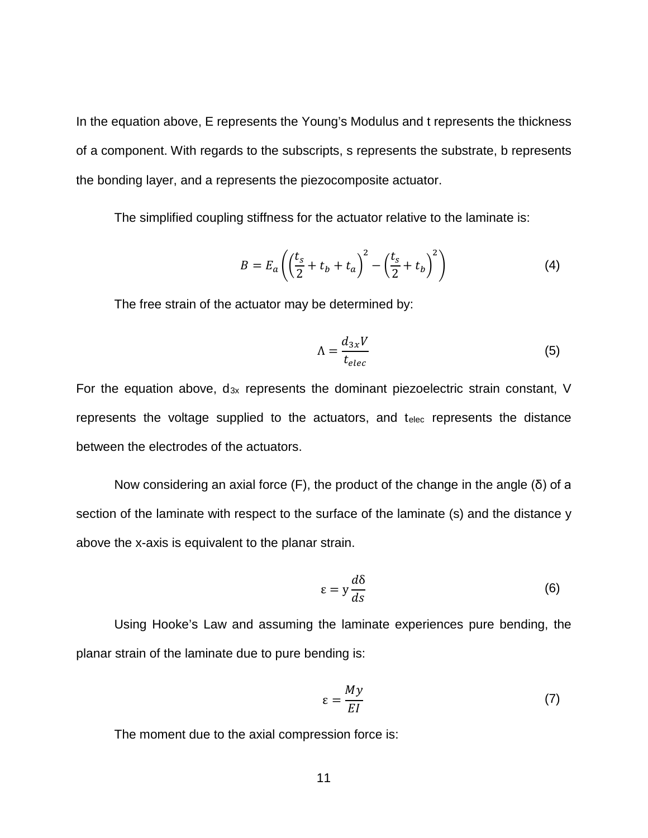In the equation above, E represents the Young's Modulus and t represents the thickness of a component. With regards to the subscripts, s represents the substrate, b represents the bonding layer, and a represents the piezocomposite actuator.

The simplified coupling stiffness for the actuator relative to the laminate is:

$$
B = E_a \left( \left( \frac{t_s}{2} + t_b + t_a \right)^2 - \left( \frac{t_s}{2} + t_b \right)^2 \right)
$$
 (4)

The free strain of the actuator may be determined by:

$$
\Lambda = \frac{d_{3x}V}{t_{elec}}\tag{5}
$$

For the equation above,  $d_{3x}$  represents the dominant piezoelectric strain constant, V represents the voltage supplied to the actuators, and telec represents the distance between the electrodes of the actuators.

Now considering an axial force (F), the product of the change in the angle (δ) of a section of the laminate with respect to the surface of the laminate (s) and the distance y above the x-axis is equivalent to the planar strain.

$$
\varepsilon = y \frac{d\delta}{ds} \tag{6}
$$

Using Hooke's Law and assuming the laminate experiences pure bending, the planar strain of the laminate due to pure bending is:

$$
\varepsilon = \frac{My}{EI} \tag{7}
$$

The moment due to the axial compression force is: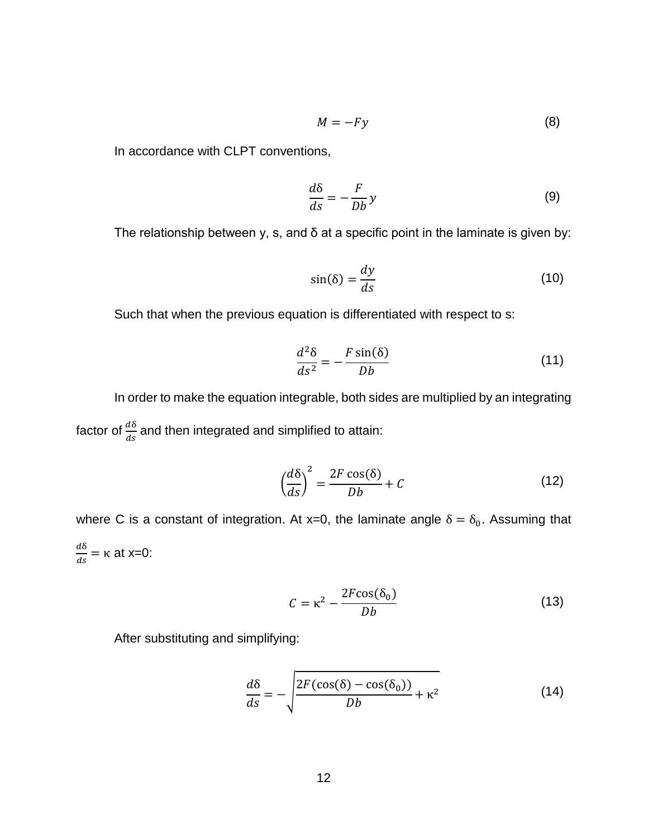$$
M = -Fy \tag{8}
$$

In accordance with CLPT conventions,

$$
\frac{d\delta}{ds} = -\frac{F}{Db}y\tag{9}
$$

The relationship between y, s, and  $\delta$  at a specific point in the laminate is given by:

$$
\sin(\delta) = \frac{dy}{ds} \tag{10}
$$

Such that when the previous equation is differentiated with respect to s:

$$
\frac{d^2\delta}{ds^2} = -\frac{F\sin(\delta)}{Db} \tag{11}
$$

In order to make the equation integrable, both sides are multiplied by an integrating factor of  $\frac{d\delta}{ds}$  and then integrated and simplified to attain:

$$
\left(\frac{d\delta}{ds}\right)^2 = \frac{2F\cos(\delta)}{Db} + C\tag{12}
$$

where C is a constant of integration. At x=0, the laminate angle  $\delta = \delta_0$ . Assuming that  $rac{d\delta}{ds}$  = κ at x=0:

$$
C = \kappa^2 - \frac{2F\cos(\delta_0)}{Db} \tag{13}
$$

After substituting and simplifying:

$$
\frac{d\delta}{ds} = -\sqrt{\frac{2F(\cos(\delta) - \cos(\delta_0))}{Db} + \kappa^2}
$$
(14)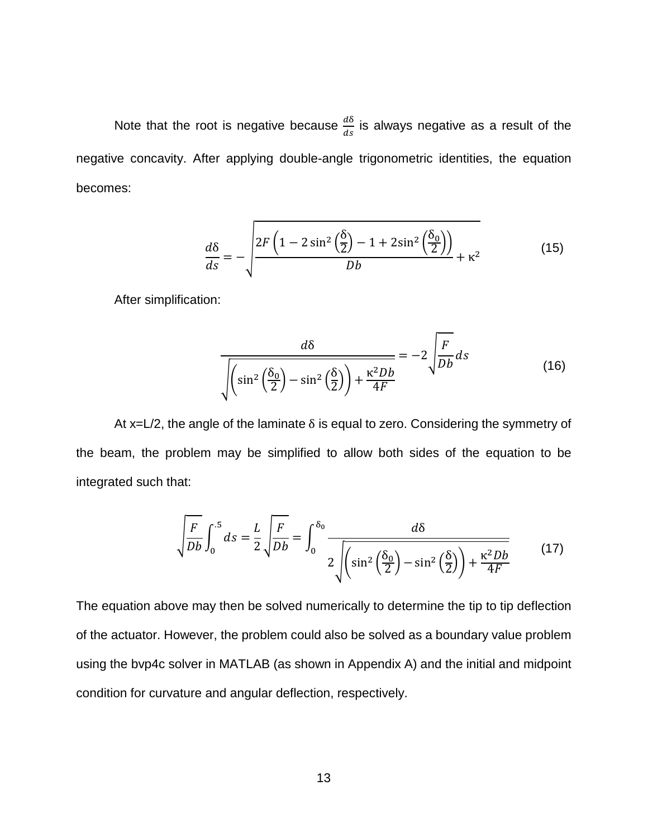Note that the root is negative because  $\frac{d\delta}{ds}$  is always negative as a result of the negative concavity. After applying double-angle trigonometric identities, the equation becomes:

$$
\frac{d\delta}{ds} = -\sqrt{\frac{2F\left(1 - 2\sin^2\left(\frac{\delta}{2}\right) - 1 + 2\sin^2\left(\frac{\delta_0}{2}\right)\right)}{Db} + \kappa^2}
$$
(15)

After simplification:

$$
\frac{d\delta}{\sqrt{\left(\sin^2\left(\frac{\delta_0}{2}\right) - \sin^2\left(\frac{\delta}{2}\right)\right) + \frac{\kappa^2 Db}{4F}}} = -2\sqrt{\frac{F}{Db}}ds\tag{16}
$$

At x=L/2, the angle of the laminate  $\delta$  is equal to zero. Considering the symmetry of the beam, the problem may be simplified to allow both sides of the equation to be integrated such that:

$$
\sqrt{\frac{F}{Db}} \int_0^{.5} ds = \frac{L}{2} \sqrt{\frac{F}{Db}} = \int_0^{\delta_0} \frac{d\delta}{2\sqrt{\left(\sin^2\left(\frac{\delta_0}{2}\right) - \sin^2\left(\frac{\delta}{2}\right)\right) + \frac{\kappa^2 Db}{4F}}} \tag{17}
$$

The equation above may then be solved numerically to determine the tip to tip deflection of the actuator. However, the problem could also be solved as a boundary value problem using the bvp4c solver in MATLAB (as shown in Appendix A) and the initial and midpoint condition for curvature and angular deflection, respectively.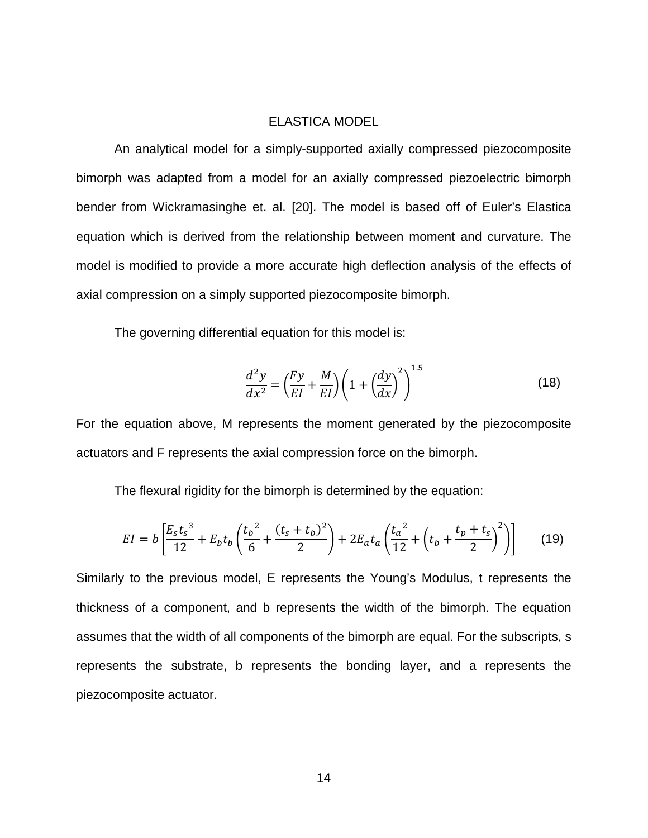#### ELASTICA MODEL

<span id="page-22-0"></span>An analytical model for a simply-supported axially compressed piezocomposite bimorph was adapted from a model for an axially compressed piezoelectric bimorph bender from Wickramasinghe et. al. [20]. The model is based off of Euler's Elastica equation which is derived from the relationship between moment and curvature. The model is modified to provide a more accurate high deflection analysis of the effects of axial compression on a simply supported piezocomposite bimorph.

The governing differential equation for this model is:

$$
\frac{d^2y}{dx^2} = \left(\frac{Fy}{EI} + \frac{M}{EI}\right) \left(1 + \left(\frac{dy}{dx}\right)^2\right)^{1.5}
$$
\n(18)

 $\overline{1}$ .

For the equation above, M represents the moment generated by the piezocomposite actuators and F represents the axial compression force on the bimorph.

The flexural rigidity for the bimorph is determined by the equation:

$$
EI = b \left[ \frac{E_s t_s^3}{12} + E_b t_b \left( \frac{t_b^2}{6} + \frac{(t_s + t_b)^2}{2} \right) + 2E_a t_a \left( \frac{t_a^2}{12} + \left( t_b + \frac{t_p + t_s}{2} \right)^2 \right) \right]
$$
(19)

Similarly to the previous model, E represents the Young's Modulus, t represents the thickness of a component, and b represents the width of the bimorph. The equation assumes that the width of all components of the bimorph are equal. For the subscripts, s represents the substrate, b represents the bonding layer, and a represents the piezocomposite actuator.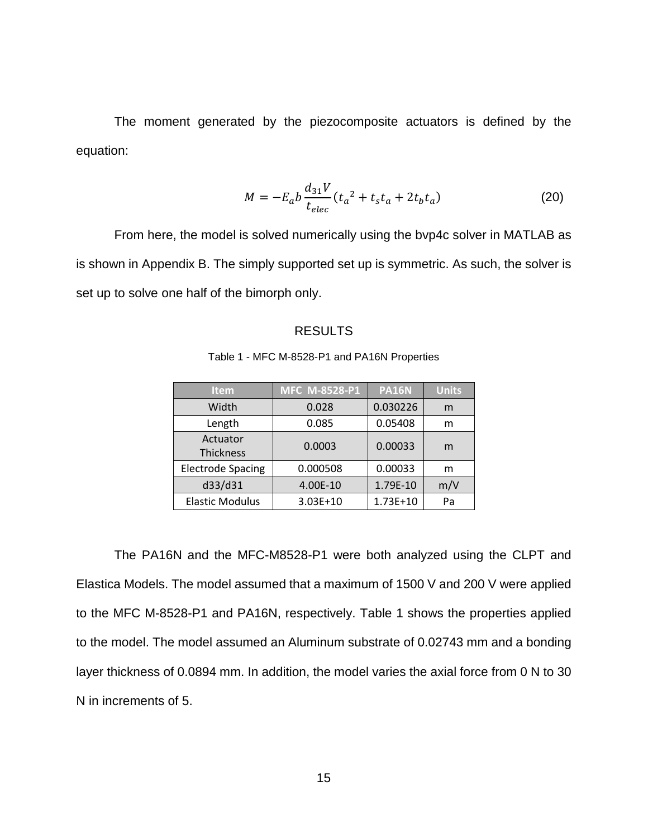The moment generated by the piezocomposite actuators is defined by the equation:

$$
M = -E_a b \frac{d_{31} V}{t_{elec}} (t_a^2 + t_s t_a + 2t_b t_a)
$$
 (20)

<span id="page-23-0"></span>From here, the model is solved numerically using the bvp4c solver in MATLAB as is shown in Appendix B. The simply supported set up is symmetric. As such, the solver is set up to solve one half of the bimorph only.

#### RESULTS

<span id="page-23-1"></span>

| <b>Item</b>                  | MFC M-8528-P1 | <b>PA16N</b> | <b>Units</b> |
|------------------------------|---------------|--------------|--------------|
| Width                        | 0.028         | 0.030226     | m            |
| Length                       | 0.085         | 0.05408      | m            |
| Actuator<br><b>Thickness</b> | 0.0003        | 0.00033      | m            |
| <b>Electrode Spacing</b>     | 0.000508      | 0.00033      | m            |
| d33/d31                      | 4.00E-10      | 1.79E-10     | m/V          |
| <b>Elastic Modulus</b>       | 3.03E+10      | $1.73E + 10$ | Pa           |

Table 1 - MFC M-8528-P1 and PA16N Properties

The PA16N and the MFC-M8528-P1 were both analyzed using the CLPT and Elastica Models. The model assumed that a maximum of 1500 V and 200 V were applied to the MFC M-8528-P1 and PA16N, respectively. [Table 1](#page-23-1) shows the properties applied to the model. The model assumed an Aluminum substrate of 0.02743 mm and a bonding layer thickness of 0.0894 mm. In addition, the model varies the axial force from 0 N to 30 N in increments of 5.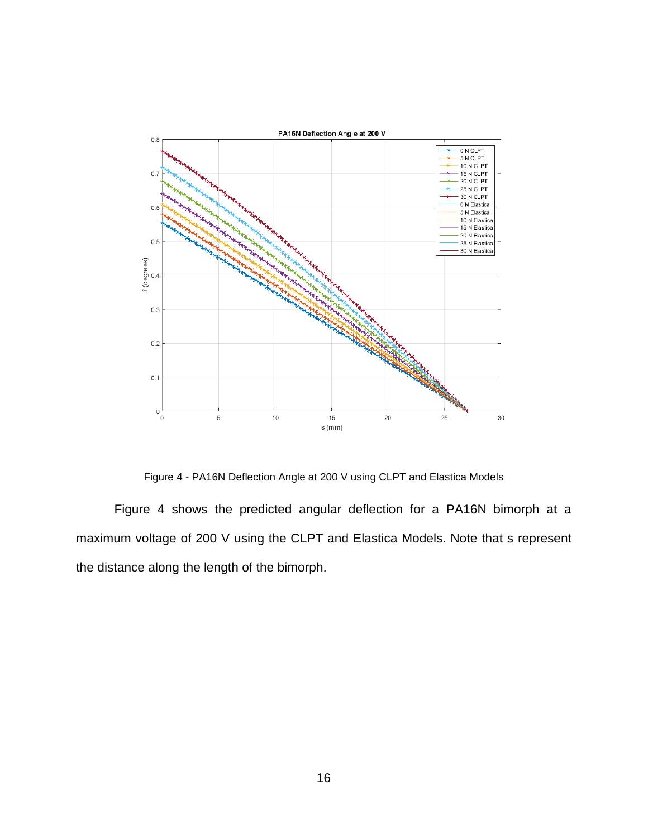

Figure 4 - PA16N Deflection Angle at 200 V using CLPT and Elastica Models

<span id="page-24-0"></span>[Figure 4](#page-24-0) shows the predicted angular deflection for a PA16N bimorph at a maximum voltage of 200 V using the CLPT and Elastica Models. Note that s represent the distance along the length of the bimorph.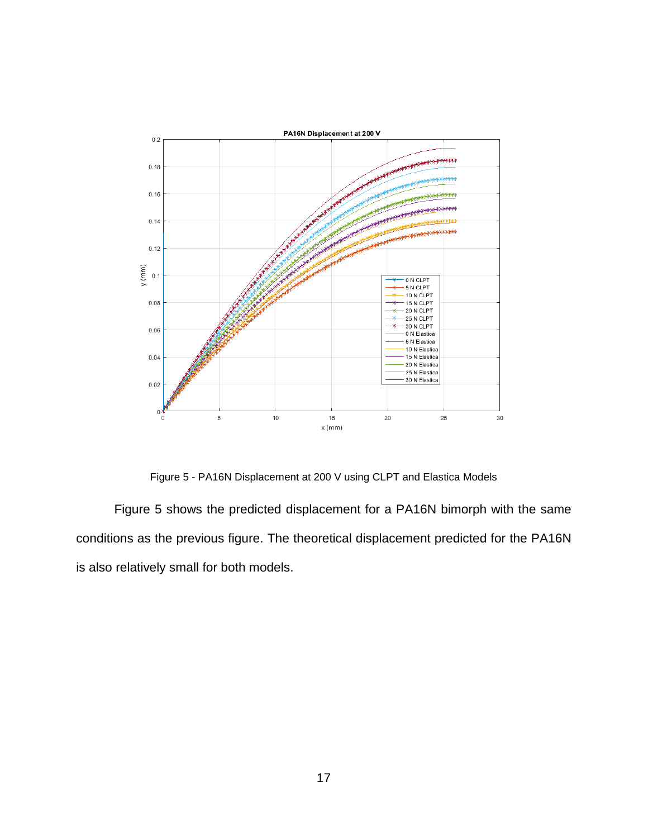

Figure 5 - PA16N Displacement at 200 V using CLPT and Elastica Models

<span id="page-25-0"></span>[Figure 5](#page-25-0) shows the predicted displacement for a PA16N bimorph with the same conditions as the previous figure. The theoretical displacement predicted for the PA16N is also relatively small for both models.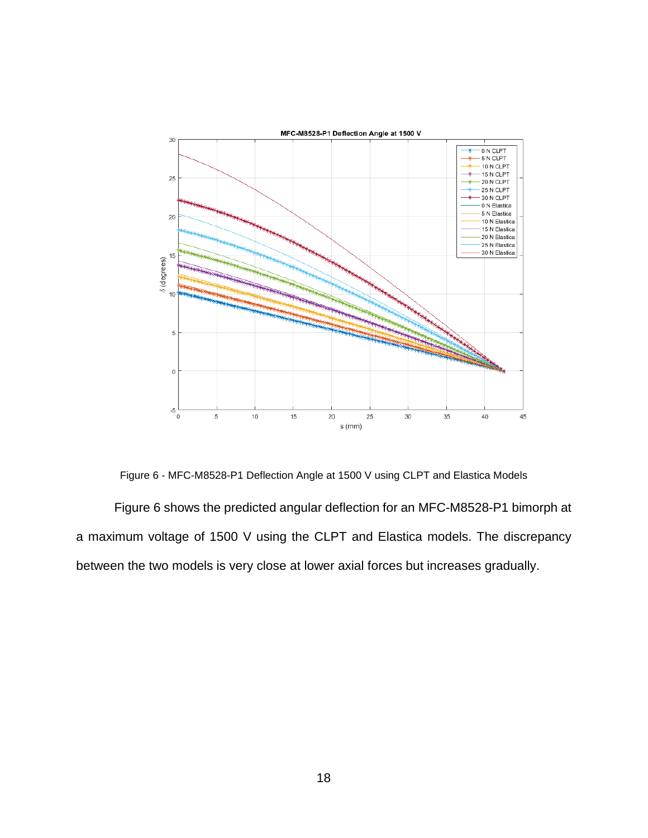

Figure 6 - MFC-M8528-P1 Deflection Angle at 1500 V using CLPT and Elastica Models

<span id="page-26-0"></span>[Figure 6](#page-26-0) shows the predicted angular deflection for an MFC-M8528-P1 bimorph at a maximum voltage of 1500 V using the CLPT and Elastica models. The discrepancy between the two models is very close at lower axial forces but increases gradually.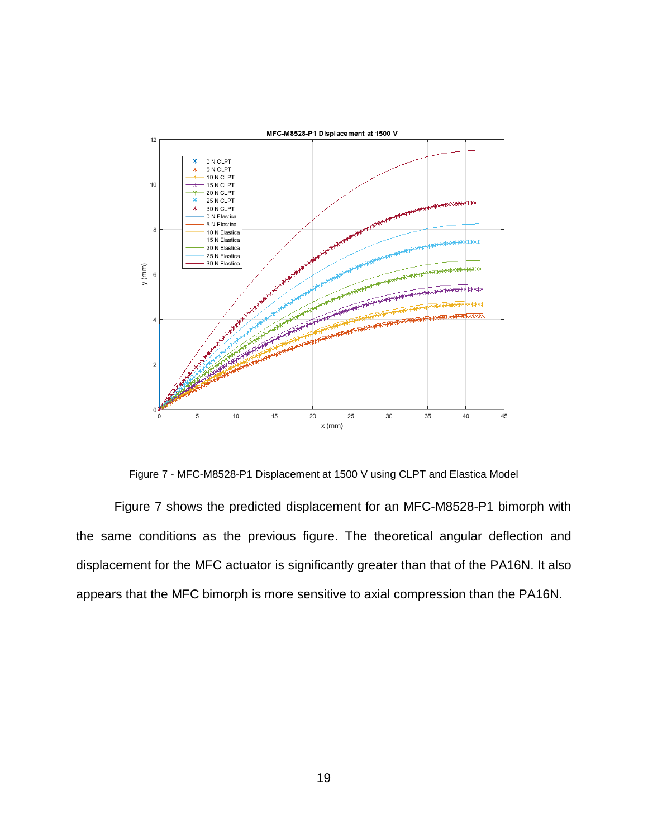

Figure 7 - MFC-M8528-P1 Displacement at 1500 V using CLPT and Elastica Model

<span id="page-27-0"></span>[Figure 7](#page-27-0) shows the predicted displacement for an MFC-M8528-P1 bimorph with the same conditions as the previous figure. The theoretical angular deflection and displacement for the MFC actuator is significantly greater than that of the PA16N. It also appears that the MFC bimorph is more sensitive to axial compression than the PA16N.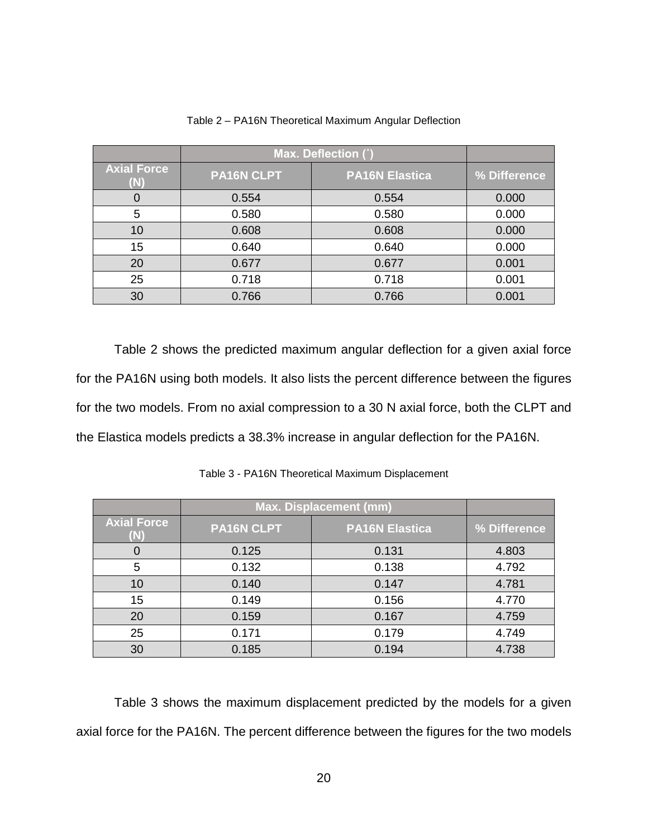<span id="page-28-0"></span>

|                    | Max. Deflection (°) |                       |              |
|--------------------|---------------------|-----------------------|--------------|
| <b>Axial Force</b> | <b>PA16N CLPT</b>   | <b>PA16N Elastica</b> | % Difference |
| 0                  | 0.554               | 0.554                 | 0.000        |
| 5                  | 0.580               | 0.580                 | 0.000        |
| 10                 | 0.608               | 0.608                 | 0.000        |
| 15                 | 0.640               | 0.640                 | 0.000        |
| 20                 | 0.677               | 0.677                 | 0.001        |
| 25                 | 0.718               | 0.718                 | 0.001        |
| 30                 | 0.766               | 0.766                 | 0.001        |

Table 2 – PA16N Theoretical Maximum Angular Deflection

[Table 2](#page-28-0) shows the predicted maximum angular deflection for a given axial force for the PA16N using both models. It also lists the percent difference between the figures for the two models. From no axial compression to a 30 N axial force, both the CLPT and the Elastica models predicts a 38.3% increase in angular deflection for the PA16N.

<span id="page-28-1"></span>

|                    | <b>Max. Displacement (mm)</b> |                       |              |
|--------------------|-------------------------------|-----------------------|--------------|
| <b>Axial Force</b> | PA16N CLPT                    | <b>PA16N Elastica</b> | % Difference |
|                    | 0.125                         | 0.131                 | 4.803        |
| 5                  | 0.132                         | 0.138                 | 4.792        |
| 10                 | 0.140                         | 0.147                 | 4.781        |
| 15                 | 0.149                         | 0.156                 | 4.770        |
| 20                 | 0.159                         | 0.167                 | 4.759        |
| 25                 | 0.171                         | 0.179                 | 4.749        |
| 30                 | 0.185                         | 0.194                 | 4.738        |

Table 3 - PA16N Theoretical Maximum Displacement

[Table 3](#page-28-1) shows the maximum displacement predicted by the models for a given axial force for the PA16N. The percent difference between the figures for the two models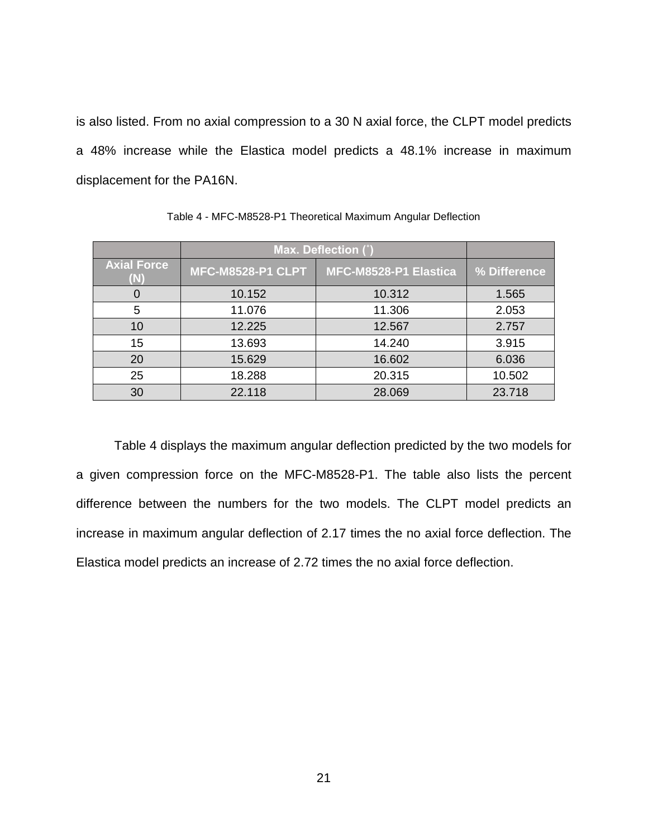is also listed. From no axial compression to a 30 N axial force, the CLPT model predicts a 48% increase while the Elastica model predicts a 48.1% increase in maximum displacement for the PA16N.

<span id="page-29-0"></span>

|                           | Max. Deflection (°)      |                       |              |
|---------------------------|--------------------------|-----------------------|--------------|
| <b>Axial Force</b><br>(N) | <b>MFC-M8528-P1 CLPT</b> | MFC-M8528-P1 Elastica | % Difference |
|                           | 10.152                   | 10.312                | 1.565        |
| 5                         | 11.076                   | 11.306                | 2.053        |
| 10                        | 12.225                   | 12.567                | 2.757        |
| 15                        | 13.693                   | 14.240                | 3.915        |
| 20                        | 15.629                   | 16.602                | 6.036        |
| 25                        | 18.288                   | 20.315                | 10.502       |
| 30                        | 22.118                   | 28.069                | 23.718       |

Table 4 - MFC-M8528-P1 Theoretical Maximum Angular Deflection

[Table 4](#page-29-0) displays the maximum angular deflection predicted by the two models for a given compression force on the MFC-M8528-P1. The table also lists the percent difference between the numbers for the two models. The CLPT model predicts an increase in maximum angular deflection of 2.17 times the no axial force deflection. The Elastica model predicts an increase of 2.72 times the no axial force deflection.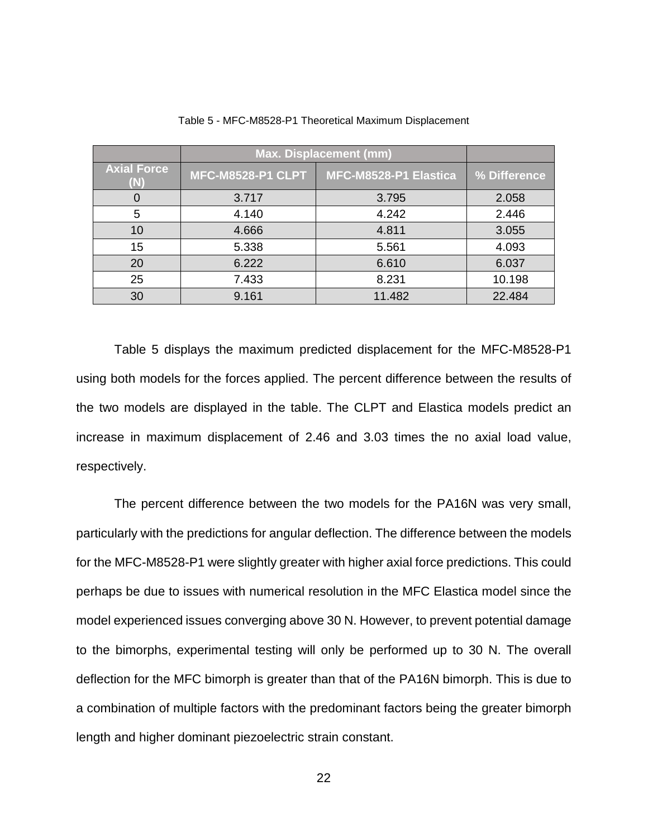<span id="page-30-0"></span>

|                    | <b>Max. Displacement (mm)</b> |                       |              |
|--------------------|-------------------------------|-----------------------|--------------|
| <b>Axial Force</b> | <b>MFC-M8528-P1 CLPT</b>      | MFC-M8528-P1 Elastica | % Difference |
|                    | 3.717                         | 3.795                 | 2.058        |
| 5                  | 4.140                         | 4.242                 | 2.446        |
| 10                 | 4.666                         | 4.811                 | 3.055        |
| 15                 | 5.338                         | 5.561                 | 4.093        |
| 20                 | 6.222                         | 6.610                 | 6.037        |
| 25                 | 7.433                         | 8.231                 | 10.198       |
| 30                 | 9.161                         | 11.482                | 22.484       |

Table 5 - MFC-M8528-P1 Theoretical Maximum Displacement

[Table 5](#page-30-0) displays the maximum predicted displacement for the MFC-M8528-P1 using both models for the forces applied. The percent difference between the results of the two models are displayed in the table. The CLPT and Elastica models predict an increase in maximum displacement of 2.46 and 3.03 times the no axial load value, respectively.

The percent difference between the two models for the PA16N was very small, particularly with the predictions for angular deflection. The difference between the models for the MFC-M8528-P1 were slightly greater with higher axial force predictions. This could perhaps be due to issues with numerical resolution in the MFC Elastica model since the model experienced issues converging above 30 N. However, to prevent potential damage to the bimorphs, experimental testing will only be performed up to 30 N. The overall deflection for the MFC bimorph is greater than that of the PA16N bimorph. This is due to a combination of multiple factors with the predominant factors being the greater bimorph length and higher dominant piezoelectric strain constant.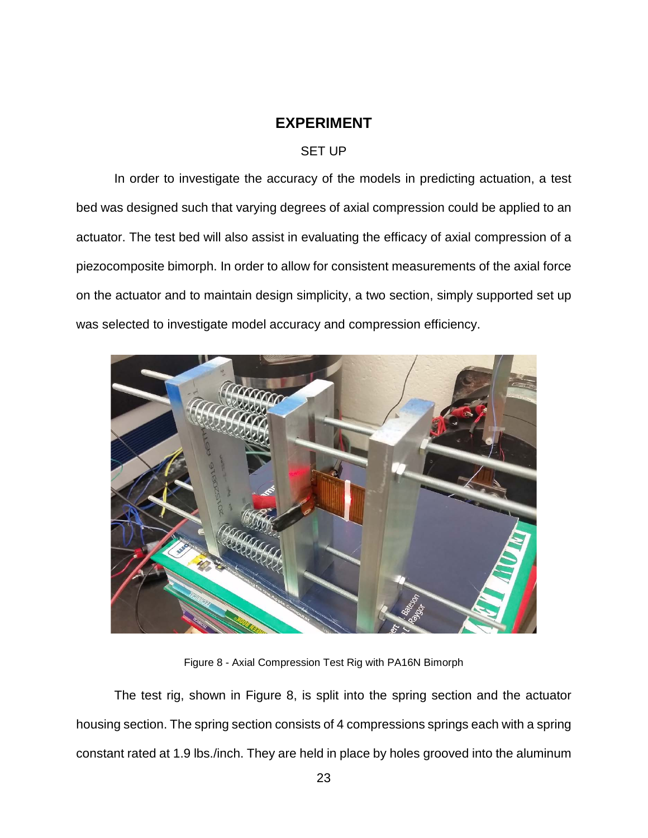### **EXPERIMENT**

#### SET UP

<span id="page-31-1"></span><span id="page-31-0"></span>In order to investigate the accuracy of the models in predicting actuation, a test bed was designed such that varying degrees of axial compression could be applied to an actuator. The test bed will also assist in evaluating the efficacy of axial compression of a piezocomposite bimorph. In order to allow for consistent measurements of the axial force on the actuator and to maintain design simplicity, a two section, simply supported set up was selected to investigate model accuracy and compression efficiency.



Figure 8 - Axial Compression Test Rig with PA16N Bimorph

<span id="page-31-2"></span>The test rig, shown in [Figure 8,](#page-31-2) is split into the spring section and the actuator housing section. The spring section consists of 4 compressions springs each with a spring constant rated at 1.9 lbs./inch. They are held in place by holes grooved into the aluminum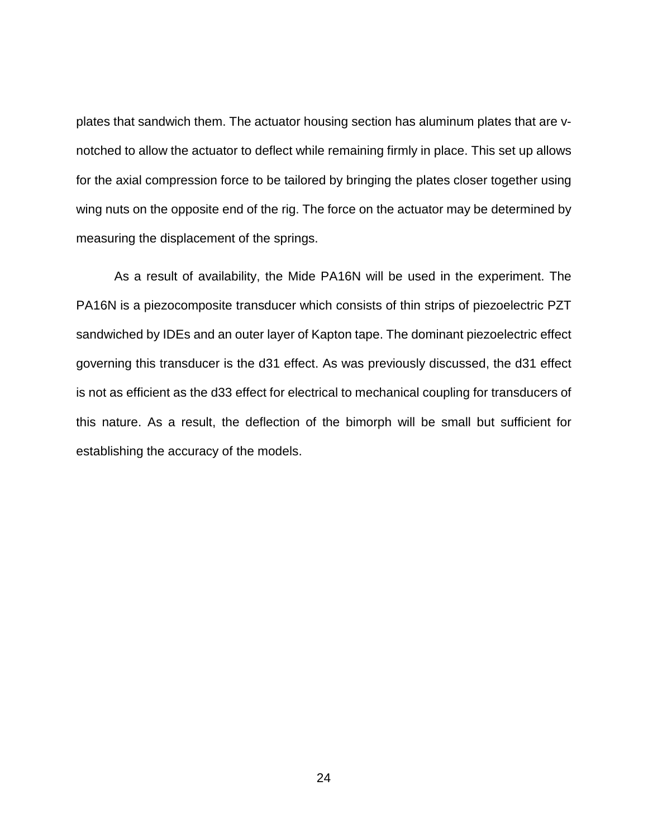plates that sandwich them. The actuator housing section has aluminum plates that are vnotched to allow the actuator to deflect while remaining firmly in place. This set up allows for the axial compression force to be tailored by bringing the plates closer together using wing nuts on the opposite end of the rig. The force on the actuator may be determined by measuring the displacement of the springs.

As a result of availability, the Mide PA16N will be used in the experiment. The PA16N is a piezocomposite transducer which consists of thin strips of piezoelectric PZT sandwiched by IDEs and an outer layer of Kapton tape. The dominant piezoelectric effect governing this transducer is the d31 effect. As was previously discussed, the d31 effect is not as efficient as the d33 effect for electrical to mechanical coupling for transducers of this nature. As a result, the deflection of the bimorph will be small but sufficient for establishing the accuracy of the models.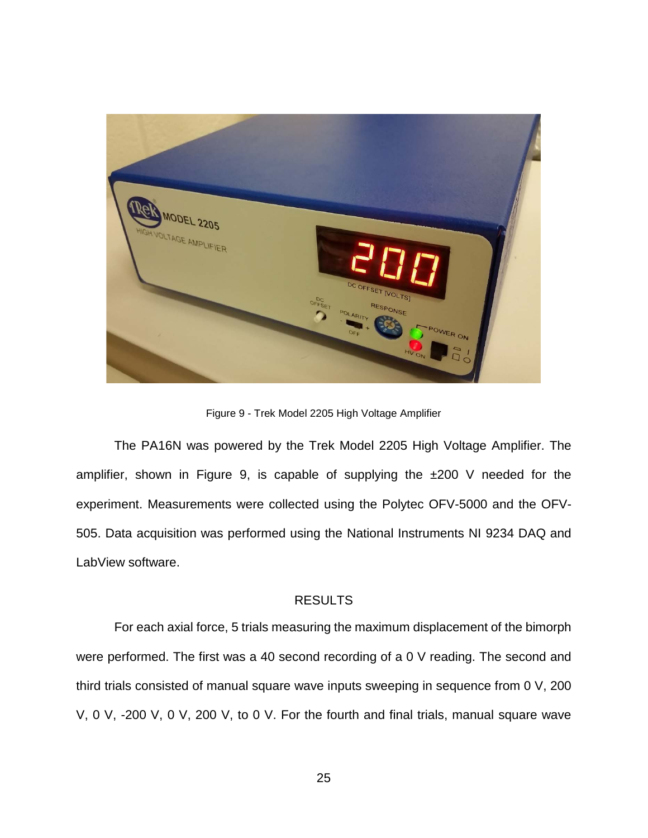

Figure 9 - Trek Model 2205 High Voltage Amplifier

<span id="page-33-1"></span>The PA16N was powered by the Trek Model 2205 High Voltage Amplifier. The amplifier, shown in [Figure 9,](#page-33-1) is capable of supplying the ±200 V needed for the experiment. Measurements were collected using the Polytec OFV-5000 and the OFV-505. Data acquisition was performed using the National Instruments NI 9234 DAQ and LabView software.

#### RESULTS

<span id="page-33-0"></span>For each axial force, 5 trials measuring the maximum displacement of the bimorph were performed. The first was a 40 second recording of a 0 V reading. The second and third trials consisted of manual square wave inputs sweeping in sequence from 0 V, 200 V, 0 V, -200 V, 0 V, 200 V, to 0 V. For the fourth and final trials, manual square wave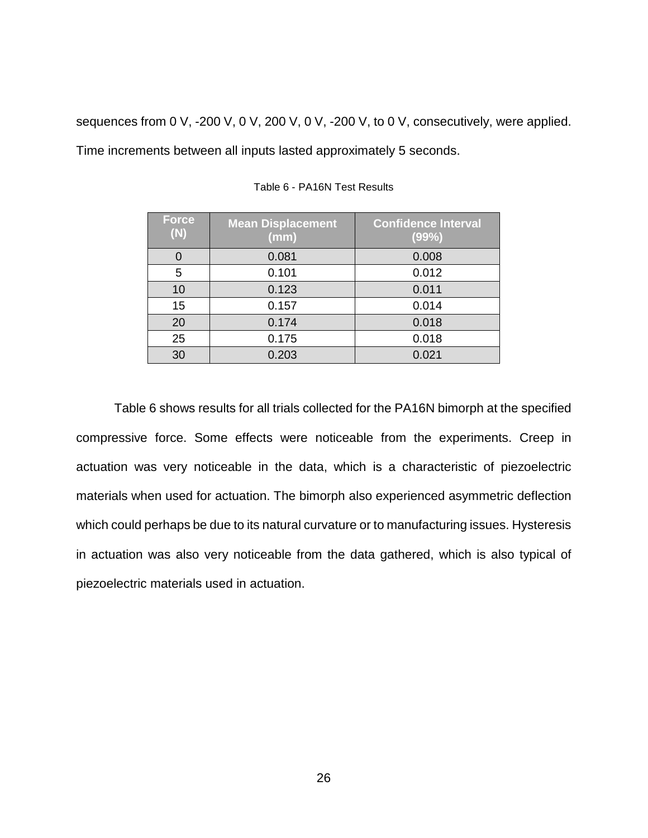<span id="page-34-0"></span>sequences from 0 V, -200 V, 0 V, 200 V, 0 V, -200 V, to 0 V, consecutively, were applied. Time increments between all inputs lasted approximately 5 seconds.

| <b>Force</b><br>(N) | <b>Mean Displacement</b><br>(mm) | <b>Confidence Interval</b><br>(99%) |
|---------------------|----------------------------------|-------------------------------------|
| 0                   | 0.081                            | 0.008                               |
| 5                   | 0.101                            | 0.012                               |
| 10                  | 0.123                            | 0.011                               |
| 15                  | 0.157                            | 0.014                               |
| 20                  | 0.174                            | 0.018                               |
| 25                  | 0.175                            | 0.018                               |
| 30                  | 0.203                            | 0.021                               |

Table 6 - PA16N Test Results

[Table 6](#page-34-0) shows results for all trials collected for the PA16N bimorph at the specified compressive force. Some effects were noticeable from the experiments. Creep in actuation was very noticeable in the data, which is a characteristic of piezoelectric materials when used for actuation. The bimorph also experienced asymmetric deflection which could perhaps be due to its natural curvature or to manufacturing issues. Hysteresis in actuation was also very noticeable from the data gathered, which is also typical of piezoelectric materials used in actuation.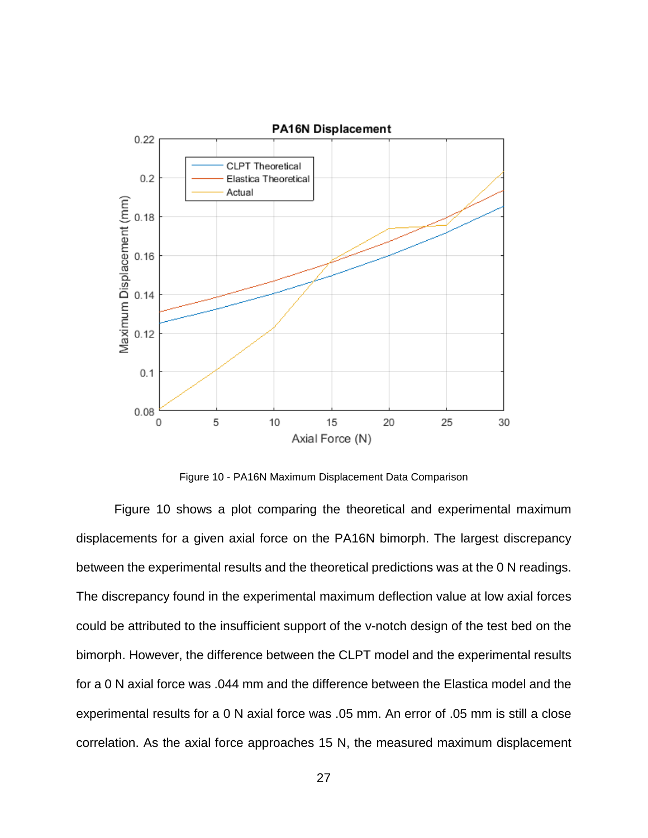

Figure 10 - PA16N Maximum Displacement Data Comparison

<span id="page-35-0"></span>[Figure 10](#page-35-0) shows a plot comparing the theoretical and experimental maximum displacements for a given axial force on the PA16N bimorph. The largest discrepancy between the experimental results and the theoretical predictions was at the 0 N readings. The discrepancy found in the experimental maximum deflection value at low axial forces could be attributed to the insufficient support of the v-notch design of the test bed on the bimorph. However, the difference between the CLPT model and the experimental results for a 0 N axial force was .044 mm and the difference between the Elastica model and the experimental results for a 0 N axial force was .05 mm. An error of .05 mm is still a close correlation. As the axial force approaches 15 N, the measured maximum displacement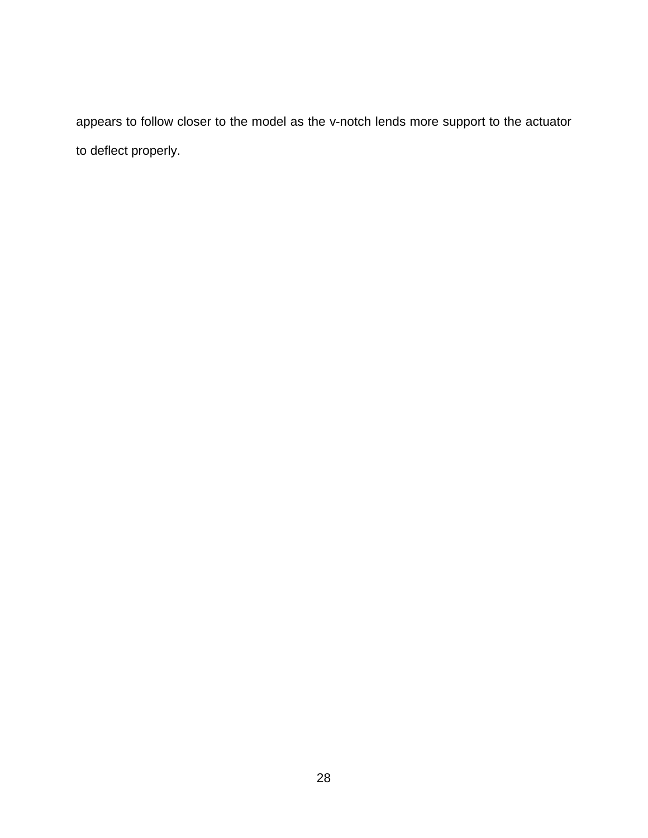appears to follow closer to the model as the v-notch lends more support to the actuator to deflect properly.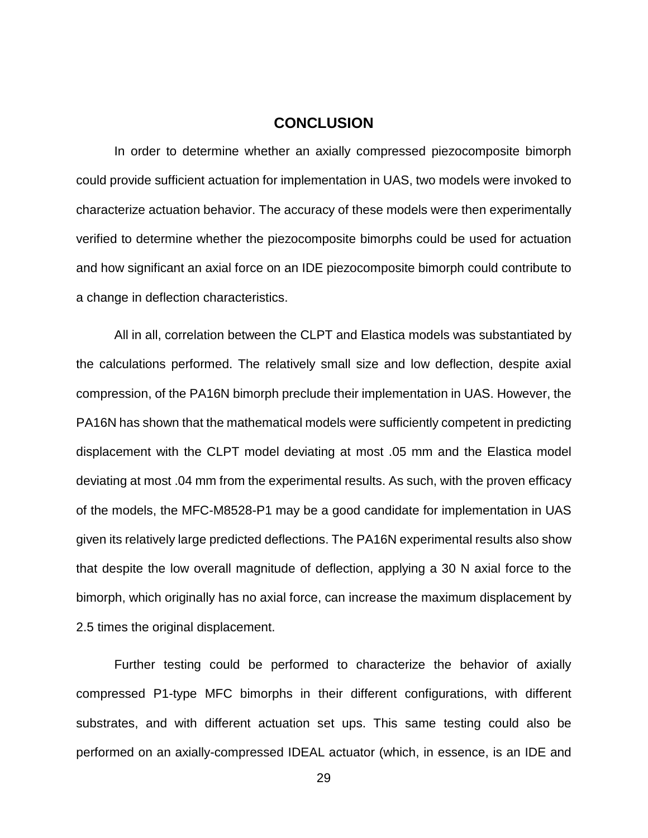### **CONCLUSION**

<span id="page-37-0"></span>In order to determine whether an axially compressed piezocomposite bimorph could provide sufficient actuation for implementation in UAS, two models were invoked to characterize actuation behavior. The accuracy of these models were then experimentally verified to determine whether the piezocomposite bimorphs could be used for actuation and how significant an axial force on an IDE piezocomposite bimorph could contribute to a change in deflection characteristics.

All in all, correlation between the CLPT and Elastica models was substantiated by the calculations performed. The relatively small size and low deflection, despite axial compression, of the PA16N bimorph preclude their implementation in UAS. However, the PA16N has shown that the mathematical models were sufficiently competent in predicting displacement with the CLPT model deviating at most .05 mm and the Elastica model deviating at most .04 mm from the experimental results. As such, with the proven efficacy of the models, the MFC-M8528-P1 may be a good candidate for implementation in UAS given its relatively large predicted deflections. The PA16N experimental results also show that despite the low overall magnitude of deflection, applying a 30 N axial force to the bimorph, which originally has no axial force, can increase the maximum displacement by 2.5 times the original displacement.

Further testing could be performed to characterize the behavior of axially compressed P1-type MFC bimorphs in their different configurations, with different substrates, and with different actuation set ups. This same testing could also be performed on an axially-compressed IDEAL actuator (which, in essence, is an IDE and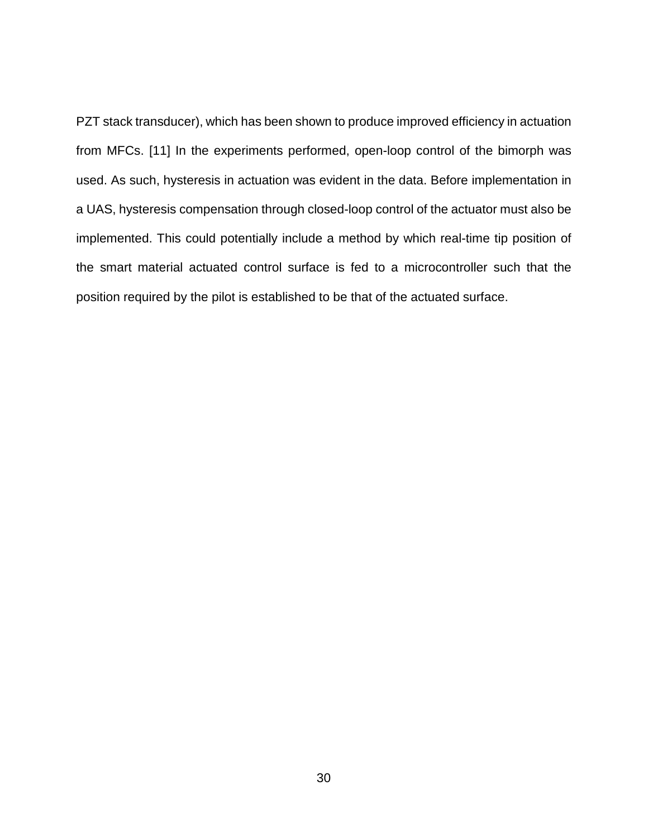PZT stack transducer), which has been shown to produce improved efficiency in actuation from MFCs. [11] In the experiments performed, open-loop control of the bimorph was used. As such, hysteresis in actuation was evident in the data. Before implementation in a UAS, hysteresis compensation through closed-loop control of the actuator must also be implemented. This could potentially include a method by which real-time tip position of the smart material actuated control surface is fed to a microcontroller such that the position required by the pilot is established to be that of the actuated surface.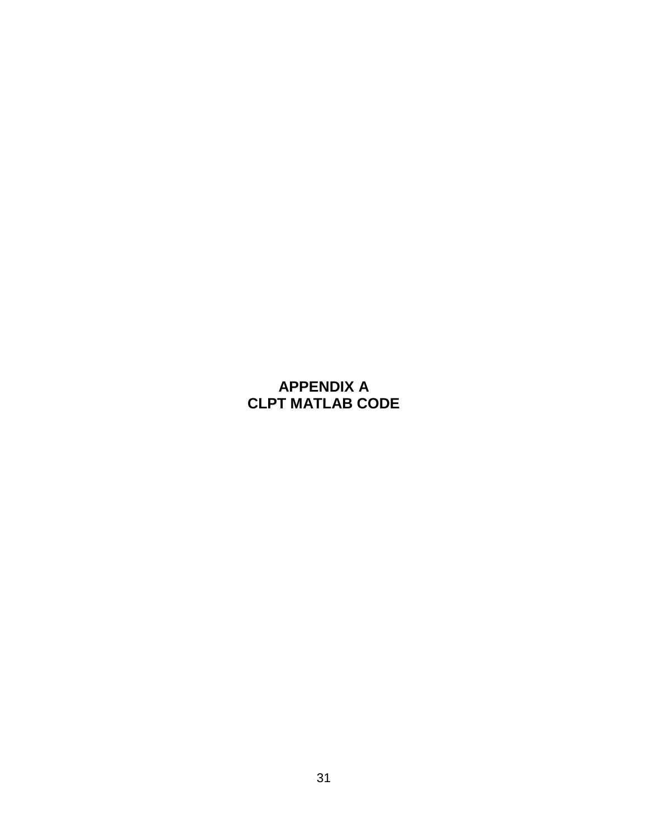## <span id="page-39-0"></span>**APPENDIX A CLPT MATLAB CODE**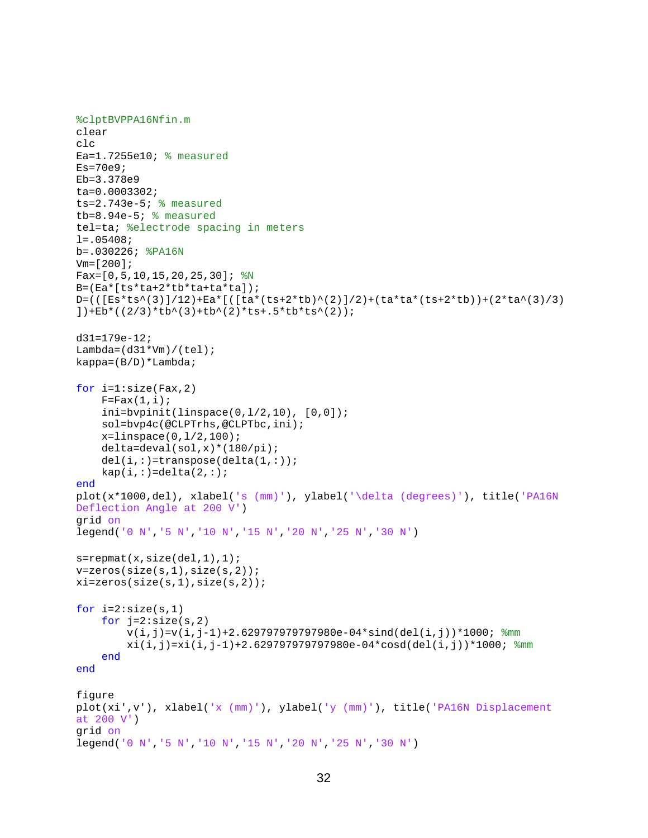```
%clptBVPPA16Nfin.m
clear
clc
Ea=1.7255e10; % measured
Es=70e9;Eb=3.378e9
ta=0.0003302; 
ts=2.743e-5; % measured
tb=8.94e-5; % measured 
tel=ta; %electrode spacing in meters
l = .05408;b=.030226; %PA16N
Vm=[200];
Fax=[0,5,10,15,20,25,30]; %NB=(Ea*[ts*ta+2*tb*ta+ta*ta]);
D=(([Es*ts^(3)]/12)+Ea*[([ta*(ts+2*tb)^(2)]/2)+(ta*ta*(ts+2*tb))+(2*ta^(3)/3)
])+Eb*((2/3)*tb^(3)+tb^(2)*ts+.5*tb*ts^(2));
d31=179e-12;
Lambda=(d31*Vm)/(tel);kappa=(B/D)*Lambda;
for i=1:size(Fax,2)
    F=Fix(1,i); ini=bvpinit(linspace(0,l/2,10), [0,0]);
     sol=bvp4c(@CLPTrhs,@CLPTbc,ini);
     x=linspace(0,l/2,100);
     delta=deval(sol,x)*(180/pi);
    del(i,:)=transpose(detta(1,:));kap(i,:)=delta(2,:);end
plot(x*1000,del), xlabel('s (mm)'), ylabel('\delta (degrees)'), title('PA16N 
Deflection Angle at 200 V')
grid on
legend('0 N','5 N','10 N','15 N','20 N','25 N','30 N')
s =repmat(x, size(de1,1),1);v=zeros(size(s,1),size(s,2));
xi=zeros(size(s,1),size(s,2));
for i=2:size(s,1)for j=2:size(s,2)v(i,j)=v(i,j-1)+2.6297979797980e-04*sind(det(i,j))*1000; %mmxi(i,j)=xi(i,j-1)+2.629797979797980e-04*cosd(det(i,j))*1000; %mm
     end
end
figure
plot(xi',v'), xlabel('x (mm)'), ylabel('y (mm)'), title('PA16N Displacement 
at 200 V')
grid on
legend('0 N','5 N','10 N','15 N','20 N','25 N','30 N')
```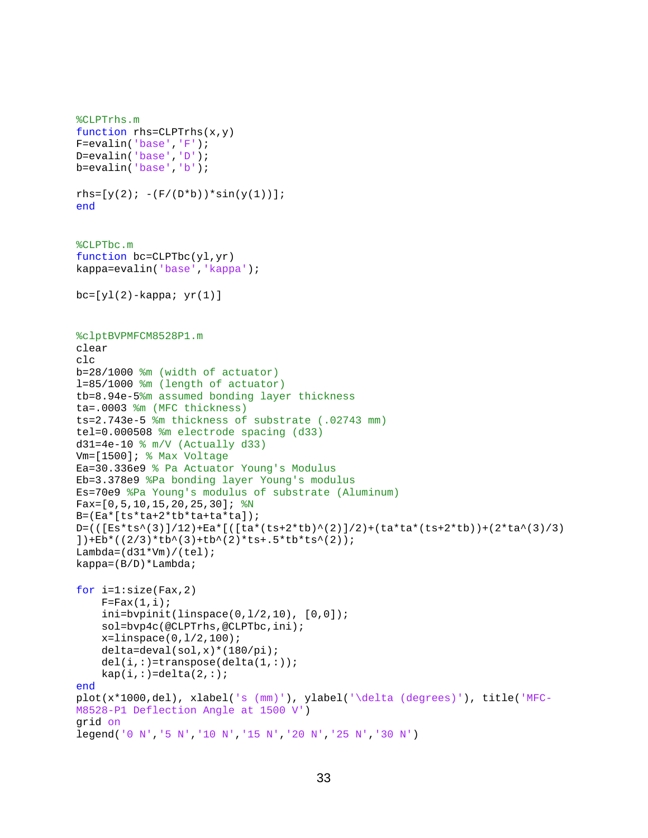```
%CLPTrhs.m
function rhs=CLPTrhs(x,y)
F=evalin('base','F');
D=evalin('base','D');
b=evalin('base','b');
rhs=[y(2); -(F/(D*b))*sin(y(1))];
end
%CLPTbc.m
function bc=CLPTbc(yl,yr)
kappa=evalin('base','kappa');
bc=[yl(2)-kappa; yr(1)]%clptBVPMFCM8528P1.m
clear
clc
b=28/1000 %m (width of actuator)
l=85/1000 %m (length of actuator)
tb=8.94e-5%m assumed bonding layer thickness
ta=.0003 %m (MFC thickness)
ts=2.743e-5 %m thickness of substrate (.02743 mm)
tel=0.000508 %m electrode spacing (d33)
d31=4e-10 % m/V (Actually d33)
Vm=[1500]; % Max Voltage
Ea=30.336e9 % Pa Actuator Young's Modulus
Eb=3.378e9 %Pa bonding layer Young's modulus
Es=70e9 %Pa Young's modulus of substrate (Aluminum)
Fax=[0,5,10,15,20,25,30]; %N
B=(Ea*[ts*ta+2*tb*ta+ta*ta]);
D=(([Es*ts^(3)]/12)+Ea*[([ta*(ts+2*tb)^(2)]/2)+(ta*ta*(ts+2*tb))+(2*ta^(3)/3)
])+Eb*((2/3)*tb^(3)+tb^(2)*ts+.5*tb*ts^(2));
Lambda=(d31*Vm)/(tel);kappa=(B/D)*Lambda;
for i=1:size(Fax,2)
    F=Fix(1,i);ini = byprint(linspace(0,1/2,10), [0,0]); sol=bvp4c(@CLPTrhs,@CLPTbc,ini);
    x = 1inspace(0, 1/2, 100);
     delta=deval(sol,x)*(180/pi);
    del(i,:)=transpose(detta(1,:));kap(i,:)=delta(2,:);end
plot(x*1000,del), xlabel('s (mm)'), ylabel('\delta (degrees)'), title('MFC-
M8528-P1 Deflection Angle at 1500 V')
grid on
legend('0 N','5 N','10 N','15 N','20 N','25 N','30 N')
```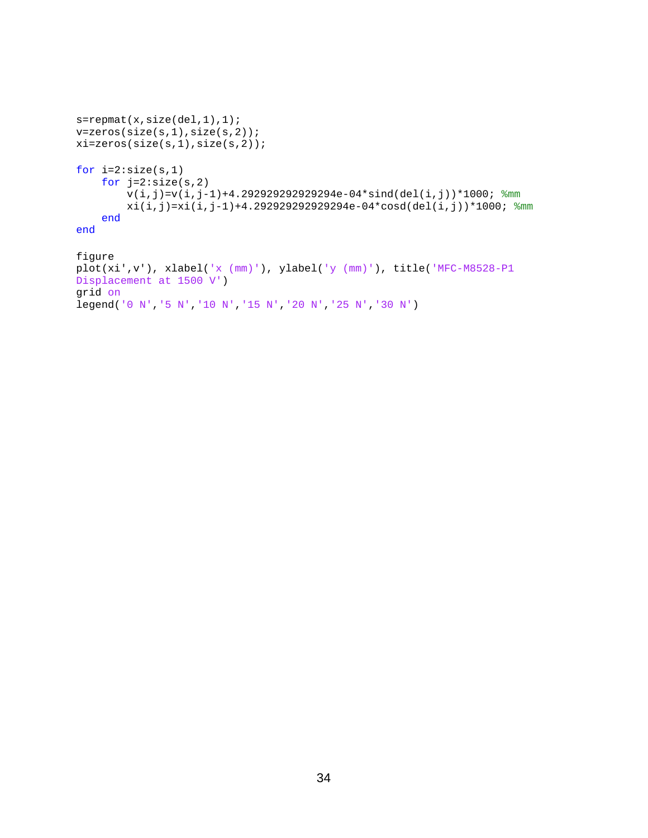```
s =repmat(x, size(de1,1),1);v=zeros(size(s,1),size(s,2));
xi=zeros(size(s,1),size(s,2));
for i=2:size(s,1) for j=2:size(s,2)
        v(i,j)=v(i,j-1)+4.292929292929294e-04*sind(det(i,j))*1000; 8mm)xi(i,j)=xi(i,j-1)+4.292929292929294e-04*cosd(det(i,j))*1000; %mm end
end
figure
plot(xi',v'), xlabel('x (mm)'), ylabel('y (mm)'), title('MFC-M8528-P1 
Displacement at 1500 V')
grid on
```

```
legend('0 N','5 N','10 N','15 N','20 N','25 N','30 N')
```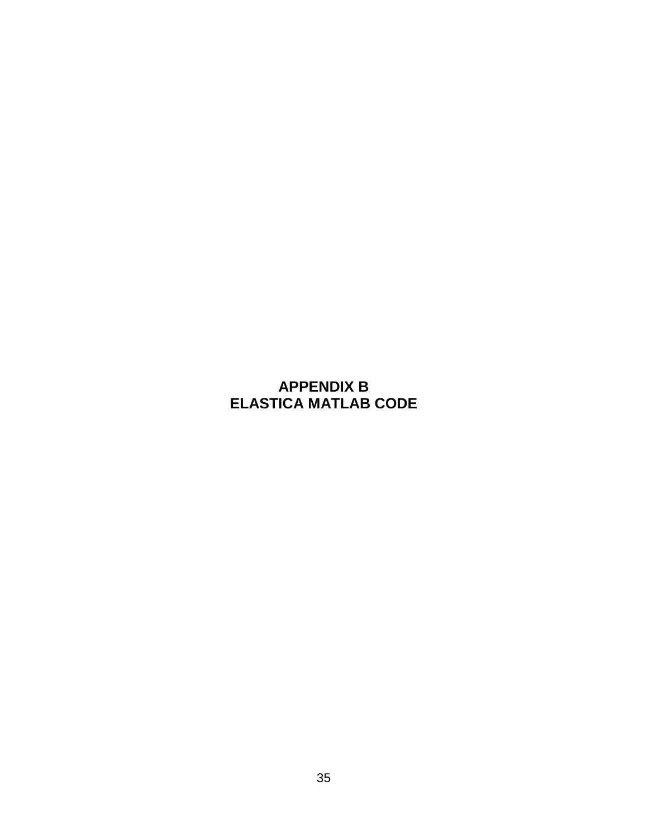## <span id="page-43-0"></span>**APPENDIX B ELASTICA MATLAB CODE**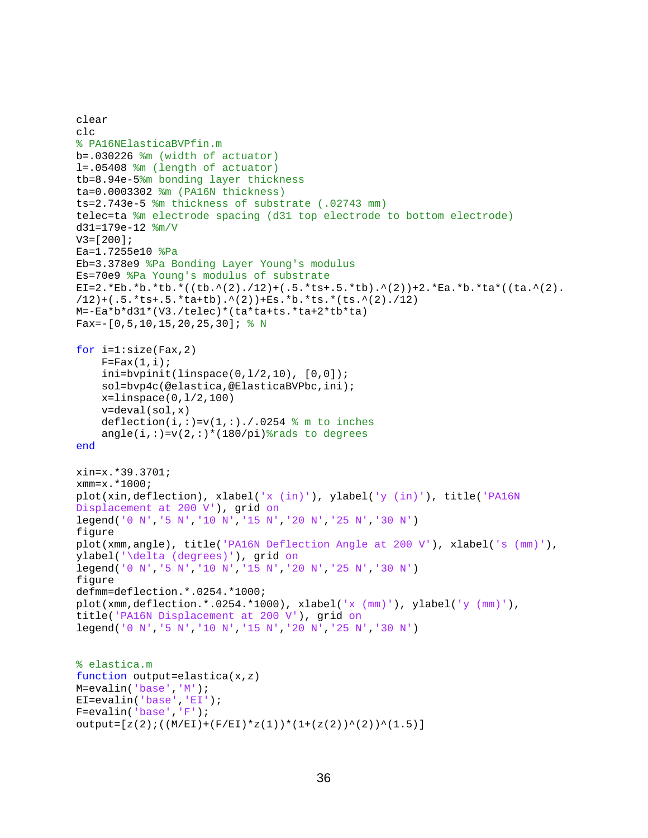```
clear
c1c% PA16NElasticaBVPfin.m
b=.030226 %m (width of actuator)
l=.05408 %m (length of actuator)
tb=8.94e-5%m bonding layer thickness
ta=0.0003302 %m (PA16N thickness)
ts=2.743e-5 %m thickness of substrate (.02743 mm)
telec=ta %m electrode spacing (d31 top electrode to bottom electrode)
d31=179e-12 %m/V
V3 = [200];
Ea=1.7255e10 %Pa
Eb=3.378e9 %Pa Bonding Layer Young's modulus
Es=70e9 %Pa Young's modulus of substrate
EI=2.*Eb.*b.*tb.*((tb.^(2)./12)+(.5.*ts+.5.*tb).^(2))+2.*Ea.*b.*ta*((ta.^(2).
/12)+(.5.*ts+.5.*ta+tb).^(2))+Es.*b.*ts.*(ts.^(2)./12)
M=-Ea*b*d31*(V3./telec)*(ta*ta+ts.*ta+2*tb*ta)
Fax= -[0, 5, 10, 15, 20, 25, 30]; % Nfor i=1:size(Fax,2)
    F=Fix(1,i);ini = bvpoint(linspace(0,1/2,10), [0,0]);
     sol=bvp4c(@elastica,@ElasticaBVPbc,ini);
     x=linspace(0,l/2,100)
     v=deval(sol,x)
    deflection(i,:)=v(1,:)./.0254 % m to inches
    angle(i,:)=v(2,:)*(180/pi)%rads to degrees
end
xin=x.*39.3701;
xmm=x.*1000;
plot(xin,deflection), xlabel('x (in)'), ylabel('y (in)'), title('PA16N 
Displacement at 200 V'), grid on
legend('0 N','5 N','10 N','15 N','20 N','25 N','30 N')
figure
plot(xmm,angle), title('PA16N Deflection Angle at 200 V'), xlabel('s (mm)'), 
ylabel('\delta (degrees)'), grid on
legend('0 N','5 N','10 N','15 N','20 N','25 N','30 N')
figure
defmm=deflection.*.0254.*1000;
plot(xmm,deflection.*.0254.*1000), xlabel('x (\text{mm})'), ylabel('y (\text{mm})'),
title('PA16N Displacement at 200 V'), grid on
legend('0 N','5 N','10 N','15 N','20 N','25 N','30 N')
% elastica.m
function output=elastica(x,z)
M=evalin('base','M');
EI=evalin('base','EI');
F=evalin('base','F');
output=[z(2);((M/EI)+(F/EI)*z(1))*(1+(z(2))^(2))^(1.5)]
```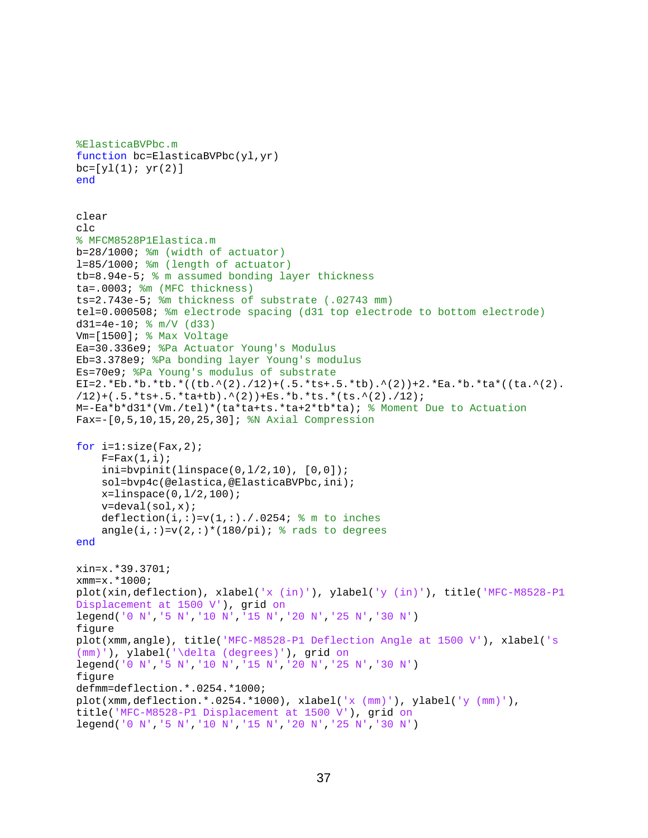```
%ElasticaBVPbc.m
function bc=ElasticaBVPbc(yl,yr)
bc=[y1(1); yr(2)]end
clear
clc
% MFCM8528P1Elastica.m
b=28/1000; \text{Im} (width of actuator)
l=85/1000; %m (length of actuator)
tb=8.94e-5; % m assumed bonding layer thickness
ta=.0003; %m (MFC thickness)
ts=2.743e-5; %m thickness of substrate (.02743 mm) 
tel=0.000508; %m electrode spacing (d31 top electrode to bottom electrode)
d31=4e-10; \frac{1}{2} m/V (d33)
Vm=[1500]; % Max Voltage
Ea=30.336e9; %Pa Actuator Young's Modulus
Eb=3.378e9; %Pa bonding layer Young's modulus
Es=70e9; %Pa Young's modulus of substrate
EI=2.*Eb.*b.*tb.*((tb.^(2)./12)+(.5.*ts+.5.*tb).^(2))+2.*Ea.*b.*ta*((ta.^(2).
/12)+(.5.*ts+.5.*ta+tb).^(2))+Es.*b.*ts.*(ts.^(2)./12);
M=-Ea*b*d31*(Vm./tel)*(ta*ta+ts.*ta+2*tb*ta); % Moment Due to Actuation
Fax=-[0,5,10,15,20,25,30]; %N Axial Compression
for i=1:size(Fax, 2);F=Fix(1,i); ini=bvpinit(linspace(0,l/2,10), [0,0]);
     sol=bvp4c(@elastica,@ElasticaBVPbc,ini);
    x = 1inspace(0,1/2,100);
     v=deval(sol,x);
    deflection(i,:)=v(1,:)./.0254; \text{\$ m to inches}angle(i,:)=v(2,:)*(180/pi); \frac{1}{2} rads to degrees
end
xin=x.*39.3701;
xmm=x.*1000;
plot(xin,deflection), xlabel('x (in)'), ylabel('y (in)'), title('MFC-M8528-P1 
Displacement at 1500 V'), grid on
legend('0 N','5 N','10 N','15 N','20 N','25 N','30 N')
figure
plot(xmm,angle), title('MFC-M8528-P1 Deflection Angle at 1500 V'), xlabel('s 
(mm)'), ylabel('\delta (degrees)'), grid on
legend('0 N','5 N','10 N','15 N','20 N','25 N','30 N')
figure
defmm=deflection.*.0254.*1000;
plot(xmm,deflection.*.0254.*1000), xlabel('x (\text{mm})^{\dagger}), ylabel('y (\text{mm})^{\dagger}),
title('MFC-M8528-P1 Displacement at 1500 V'), grid on
legend('0 N','5 N','10 N','15 N','20 N','25 N','30 N')
```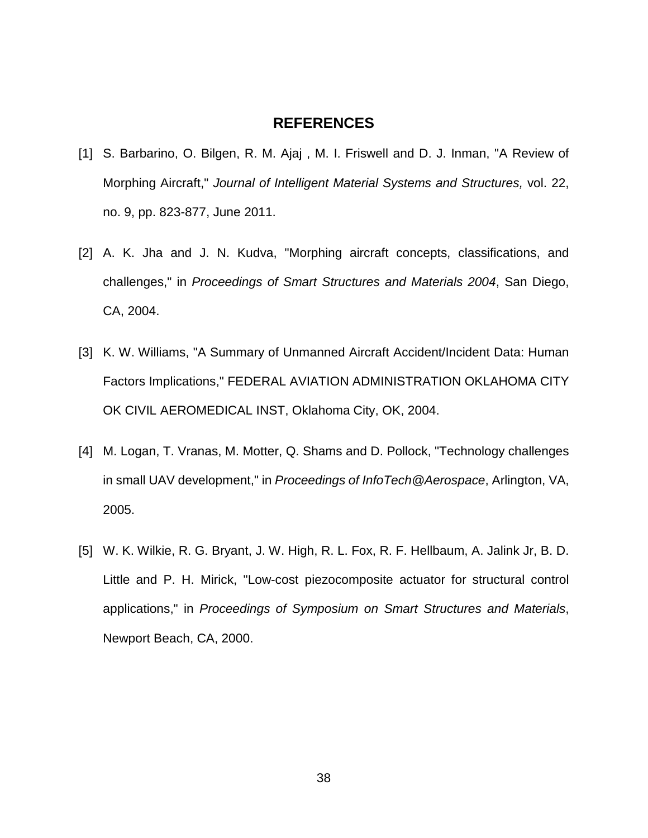#### **REFERENCES**

- <span id="page-46-0"></span>[1] S. Barbarino, O. Bilgen, R. M. Ajaj , M. I. Friswell and D. J. Inman, "A Review of Morphing Aircraft," *Journal of Intelligent Material Systems and Structures,* vol. 22, no. 9, pp. 823-877, June 2011.
- [2] A. K. Jha and J. N. Kudva, "Morphing aircraft concepts, classifications, and challenges," in *Proceedings of Smart Structures and Materials 2004*, San Diego, CA, 2004.
- [3] K. W. Williams, "A Summary of Unmanned Aircraft Accident/Incident Data: Human Factors Implications," FEDERAL AVIATION ADMINISTRATION OKLAHOMA CITY OK CIVIL AEROMEDICAL INST, Oklahoma City, OK, 2004.
- [4] M. Logan, T. Vranas, M. Motter, Q. Shams and D. Pollock, "Technology challenges in small UAV development," in *Proceedings of InfoTech@Aerospace*, Arlington, VA, 2005.
- [5] W. K. Wilkie, R. G. Bryant, J. W. High, R. L. Fox, R. F. Hellbaum, A. Jalink Jr, B. D. Little and P. H. Mirick, "Low-cost piezocomposite actuator for structural control applications," in *Proceedings of Symposium on Smart Structures and Materials*, Newport Beach, CA, 2000.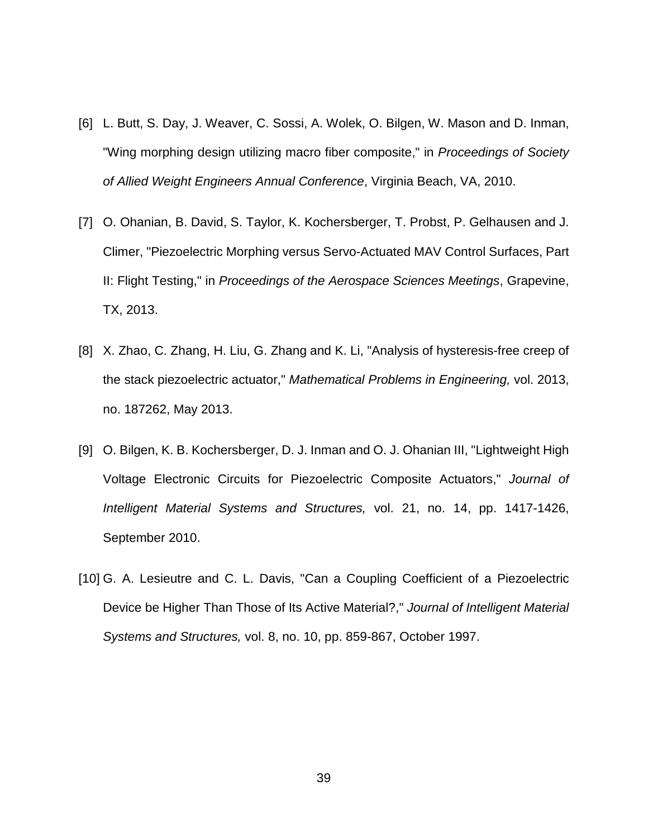- [6] L. Butt, S. Day, J. Weaver, C. Sossi, A. Wolek, O. Bilgen, W. Mason and D. Inman, "Wing morphing design utilizing macro fiber composite," in *Proceedings of Society of Allied Weight Engineers Annual Conference*, Virginia Beach, VA, 2010.
- [7] O. Ohanian, B. David, S. Taylor, K. Kochersberger, T. Probst, P. Gelhausen and J. Climer, "Piezoelectric Morphing versus Servo-Actuated MAV Control Surfaces, Part II: Flight Testing," in *Proceedings of the Aerospace Sciences Meetings*, Grapevine, TX, 2013.
- [8] X. Zhao, C. Zhang, H. Liu, G. Zhang and K. Li, "Analysis of hysteresis-free creep of the stack piezoelectric actuator," *Mathematical Problems in Engineering,* vol. 2013, no. 187262, May 2013.
- [9] O. Bilgen, K. B. Kochersberger, D. J. Inman and O. J. Ohanian III, "Lightweight High Voltage Electronic Circuits for Piezoelectric Composite Actuators," *Journal of Intelligent Material Systems and Structures,* vol. 21, no. 14, pp. 1417-1426, September 2010.
- [10] G. A. Lesieutre and C. L. Davis, "Can a Coupling Coefficient of a Piezoelectric Device be Higher Than Those of Its Active Material?," *Journal of Intelligent Material Systems and Structures,* vol. 8, no. 10, pp. 859-867, October 1997.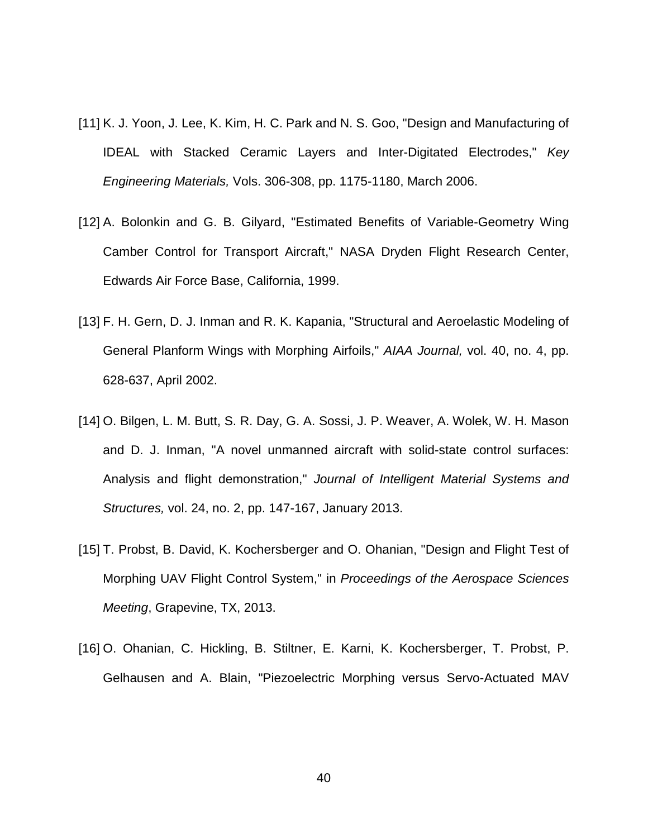- [11] K. J. Yoon, J. Lee, K. Kim, H. C. Park and N. S. Goo, "Design and Manufacturing of IDEAL with Stacked Ceramic Layers and Inter-Digitated Electrodes," *Key Engineering Materials,* Vols. 306-308, pp. 1175-1180, March 2006.
- [12] A. Bolonkin and G. B. Gilyard, "Estimated Benefits of Variable-Geometry Wing Camber Control for Transport Aircraft," NASA Dryden Flight Research Center, Edwards Air Force Base, California, 1999.
- [13] F. H. Gern, D. J. Inman and R. K. Kapania, "Structural and Aeroelastic Modeling of General Planform Wings with Morphing Airfoils," *AIAA Journal,* vol. 40, no. 4, pp. 628-637, April 2002.
- [14] O. Bilgen, L. M. Butt, S. R. Day, G. A. Sossi, J. P. Weaver, A. Wolek, W. H. Mason and D. J. Inman, "A novel unmanned aircraft with solid-state control surfaces: Analysis and flight demonstration," *Journal of Intelligent Material Systems and Structures,* vol. 24, no. 2, pp. 147-167, January 2013.
- [15] T. Probst, B. David, K. Kochersberger and O. Ohanian, "Design and Flight Test of Morphing UAV Flight Control System," in *Proceedings of the Aerospace Sciences Meeting*, Grapevine, TX, 2013.
- [16] O. Ohanian, C. Hickling, B. Stiltner, E. Karni, K. Kochersberger, T. Probst, P. Gelhausen and A. Blain, "Piezoelectric Morphing versus Servo-Actuated MAV